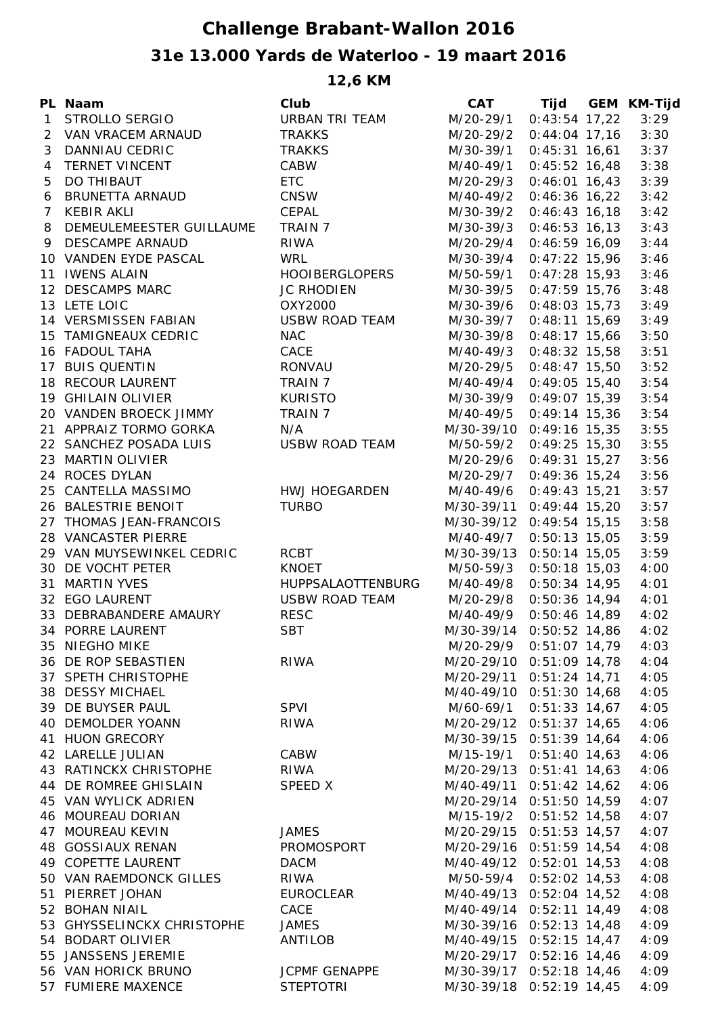## **Challenge Brabant-Wallon 2016 31e 13.000 Yards de Waterloo - 19 maart 2016**

**12,6 KM**

|   | PL Naam                    | Club                  | <b>CAT</b>               |                 | Tijd GEM KM-Tijd |
|---|----------------------------|-----------------------|--------------------------|-----------------|------------------|
|   | 1 STROLLO SERGIO           | URBAN TRI TEAM        | M/20-29/1                | $0:43:54$ 17,22 | 3:29             |
|   | 2 VAN VRACEM ARNAUD        | <b>TRAKKS</b>         | M/20-29/2                | $0:44:04$ 17,16 | 3:30             |
| 3 | DANNIAU CEDRIC             | <b>TRAKKS</b>         | M/30-39/1                | $0:45:31$ 16,61 | 3:37             |
|   | 4 TERNET VINCENT           | CABW                  | M/40-49/1                | $0:45:52$ 16,48 | 3:38             |
| 5 | DO THIBAUT                 | <b>ETC</b>            | M/20-29/3                | $0:46:01$ 16,43 | 3:39             |
| 6 | BRUNETTA ARNAUD            | CNSW                  | M/40-49/2                | $0:46:36$ 16,22 | 3:42             |
|   | 7 KEBIR AKLI               | CEPAL                 | M/30-39/2                | $0:46:43$ 16,18 | 3:42             |
| 8 | DEMEULEMEESTER GUILLAUME   | TRAIN 7               | M/30-39/3                | $0:46:53$ 16,13 | 3:43             |
|   | 9 DESCAMPE ARNAUD          | <b>RIWA</b>           | M/20-29/4                | $0:46:59$ 16,09 | 3:44             |
|   | 10 VANDEN EYDE PASCAL      | <b>WRL</b>            | M/30-39/4                | $0:47:22$ 15,96 | 3:46             |
|   | 11 IWENS ALAIN             | <b>HOOIBERGLOPERS</b> | M/50-59/1                | $0:47:28$ 15,93 | 3:46             |
|   | 12 DESCAMPS MARC           | <b>JC RHODIEN</b>     | M/30-39/5                | $0:47:59$ 15,76 | 3:48             |
|   | 13 LETE LOIC               | OXY2000               | M/30-39/6                | $0:48:03$ 15,73 | 3:49             |
|   | 14 VERSMISSEN FABIAN       | <b>USBW ROAD TEAM</b> | M/30-39/7                | $0:48:11$ 15,69 | 3:49             |
|   | 15 TAMIGNEAUX CEDRIC       | <b>NAC</b>            | M/30-39/8                | $0:48:17$ 15,66 | 3:50             |
|   | 16 FADOUL TAHA             | CACE                  | M/40-49/3                | $0:48:32$ 15,58 | 3:51             |
|   | 17 BUIS QUENTIN            | RONVAU                | M/20-29/5                | $0:48:47$ 15,50 | 3:52             |
|   | 18 RECOUR LAURENT          | TRAIN 7               | M/40-49/4                | $0:49:05$ 15,40 | 3:54             |
|   | 19 GHILAIN OLIVIER         | <b>KURISTO</b>        | M/30-39/9                | $0:49:07$ 15,39 | 3:54             |
|   | 20 VANDEN BROECK JIMMY     | TRAIN 7               | M/40-49/5                | $0:49:14$ 15,36 | 3:54             |
|   | 21 APPRAIZ TORMO GORKA     | N/A                   | M/30-39/10 0:49:16 15,35 |                 | 3:55             |
|   | 22 SANCHEZ POSADA LUIS     | <b>USBW ROAD TEAM</b> | M/50-59/2 0:49:25 15,30  |                 | 3:55             |
|   | 23 MARTIN OLIVIER          |                       | M/20-29/6                | $0:49:31$ 15,27 | 3:56             |
|   | 24 ROCES DYLAN             |                       | M/20-29/7                | $0:49:36$ 15,24 | 3:56             |
|   | 25 CANTELLA MASSIMO        | HWJ HOEGARDEN         | M/40-49/6                | $0:49:43$ 15,21 | 3:57             |
|   | 26 BALESTRIE BENOIT        | <b>TURBO</b>          | M/30-39/11 0:49:44 15,20 |                 | 3:57             |
|   | 27 THOMAS JEAN-FRANCOIS    |                       | M/30-39/12 0:49:54 15,15 |                 | 3:58             |
|   | 28 VANCASTER PIERRE        |                       | M/40-49/7                | $0:50:13$ 15,05 | 3:59             |
|   | 29 VAN MUYSEWINKEL CEDRIC  | RCBT                  | M/30-39/13 0:50:14 15,05 |                 | 3:59             |
|   | 30 DE VOCHT PETER          | <b>KNOET</b>          | M/50-59/3                | $0:50:18$ 15,03 | 4:00             |
|   | 31 MARTIN YVES             | HUPPSALAOTTENBURG     | M/40-49/8                | $0:50:34$ 14,95 | 4:01             |
|   | 32 EGO LAURENT             | USBW ROAD TEAM        | M/20-29/8 0:50:36 14,94  |                 | 4:01             |
|   | 33 DEBRABANDERE AMAURY     | <b>RESC</b>           | M/40-49/9                | $0:50:46$ 14,89 | 4:02             |
|   | 34 PORRE LAURENT           | <b>SBT</b>            | M/30-39/14 0:50:52 14,86 |                 | 4:02             |
|   | 35 NIEGHO MIKE             |                       | M/20-29/9                | $0:51:07$ 14,79 | 4:03             |
|   | 36 DE ROP SEBASTIEN        | <b>RIWA</b>           | M/20-29/10 0:51:09 14,78 |                 | 4:04             |
|   | 37 SPETH CHRISTOPHE        |                       | M/20-29/11 0:51:24 14,71 |                 | 4:05             |
|   | 38 DESSY MICHAEL           |                       | M/40-49/10 0:51:30 14,68 |                 | 4:05             |
|   | 39 DE BUYSER PAUL          | <b>SPVI</b>           | M/60-69/1                | $0:51:33$ 14,67 | 4:05             |
|   | 40 DEMOLDER YOANN          | <b>RIWA</b>           | M/20-29/12 0:51:37 14,65 |                 | 4:06             |
|   | 41 HUON GRECORY            |                       | M/30-39/15 0:51:39 14,64 |                 | 4:06             |
|   | 42 LARELLE JULIAN          | CABW                  | M/15-19/1                | $0:51:40$ 14,63 | 4:06             |
|   | 43 RATINCKX CHRISTOPHE     | RIWA                  | M/20-29/13 0:51:41 14,63 |                 | 4:06             |
|   | 44 DE ROMREE GHISLAIN      | <b>SPEED X</b>        | M/40-49/11 0:51:42 14,62 |                 | 4:06             |
|   | 45 VAN WYLICK ADRIEN       |                       | M/20-29/14 0:51:50 14,59 |                 | 4:07             |
|   | 46 MOUREAU DORIAN          |                       | M/15-19/2                | $0:51:52$ 14,58 | 4:07             |
|   | 47 MOUREAU KEVIN           | <b>JAMES</b>          | M/20-29/15 0:51:53 14,57 |                 | 4:07             |
|   | 48 GOSSIAUX RENAN          | PROMOSPORT            | M/20-29/16 0:51:59 14,54 |                 | 4:08             |
|   | 49 COPETTE LAURENT         | <b>DACM</b>           | M/40-49/12 0:52:01 14,53 |                 | 4:08             |
|   | 50 VAN RAEMDONCK GILLES    |                       |                          |                 |                  |
|   | 51 PIERRET JOHAN           | <b>RIWA</b>           | M/50-59/4                | $0:52:02$ 14,53 | 4:08             |
|   | 52 BOHAN NIAIL             | <b>EUROCLEAR</b>      | M/40-49/13 0:52:04 14,52 |                 | 4:08             |
|   |                            | CACE                  | M/40-49/14 0:52:11 14,49 |                 | 4:08             |
|   | 53 GHYSSELINCKX CHRISTOPHE | <b>JAMES</b>          | M/30-39/16 0:52:13 14,48 |                 | 4:09             |
|   | 54 BODART OLIVIER          | <b>ANTILOB</b>        | M/40-49/15 0:52:15 14,47 |                 | 4:09             |
|   | 55 JANSSENS JEREMIE        |                       | M/20-29/17 0:52:16 14,46 |                 | 4:09             |
|   | 56 VAN HORICK BRUNO        | <b>JCPMF GENAPPE</b>  | M/30-39/17 0:52:18 14,46 |                 | 4:09             |
|   | 57 FUMIERE MAXENCE         | <b>STEPTOTRI</b>      | M/30-39/18 0:52:19 14,45 |                 | 4:09             |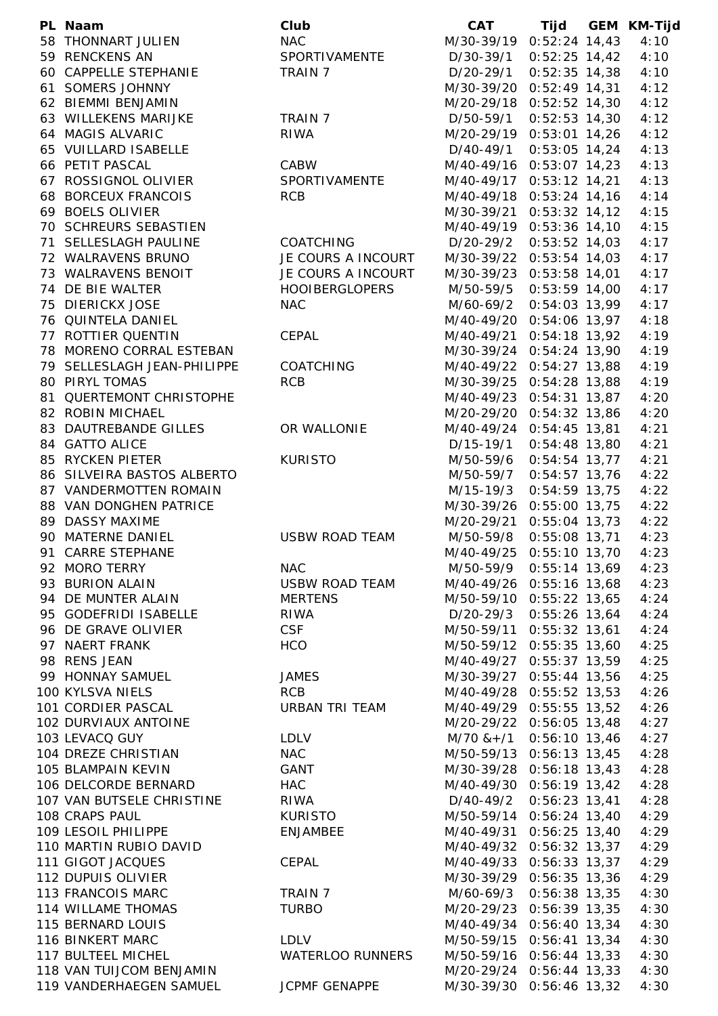| PL Naam                     | Club                  | <b>CAT</b>                    |                 | Tijd GEM KM-Tijd |
|-----------------------------|-----------------------|-------------------------------|-----------------|------------------|
| 58 THONNART JULIEN          | <b>NAC</b>            | M/30-39/19 0:52:24 14,43      |                 | 4:10             |
| 59 RENCKENS AN              | SPORTIVAMENTE         | D/30-39/1                     | $0:52:25$ 14,42 | 4:10             |
| 60 CAPPELLE STEPHANIE       | TRAIN 7               | D/20-29/1                     | $0:52:35$ 14,38 | 4:10             |
| 61 SOMERS JOHNNY            |                       | M/30-39/20 0:52:49 14,31      |                 | 4:12             |
| 62 BIEMMI BENJAMIN          |                       | M/20-29/18 0:52:52 14,30      |                 | 4:12             |
| 63 WILLEKENS MARIJKE        | TRAIN 7               | D/50-59/1                     | $0:52:53$ 14,30 | 4:12             |
| 64 MAGIS ALVARIC            | RIWA                  | M/20-29/19 0:53:01 14,26      |                 | 4:12             |
| 65 VUILLARD ISABELLE        |                       | D/40-49/1                     | $0:53:05$ 14,24 | 4:13             |
| 66 PETIT PASCAL             | CABW                  | M/40-49/16 0:53:07 14,23      |                 | 4:13             |
| 67 ROSSIGNOL OLIVIER        | SPORTIVAMENTE         | M/40-49/17                    | $0:53:12$ 14,21 | 4:13             |
| 68 BORCEUX FRANCOIS         | <b>RCB</b>            | M/40-49/18 0:53:24 14,16      |                 | 4:14             |
| 69 BOELS OLIVIER            |                       | M/30-39/21                    | $0:53:32$ 14,12 | 4:15             |
| 70 SCHREURS SEBASTIEN       |                       | M/40-49/19 0:53:36 14,10      |                 | 4:15             |
| 71 SELLESLAGH PAULINE       | <b>COATCHING</b>      | D/20-29/2                     | $0:53:52$ 14,03 | 4:17             |
| 72 WALRAVENS BRUNO          | JE COURS A INCOURT    | M/30-39/22 0:53:54 14,03      |                 | 4:17             |
| 73 WALRAVENS BENOIT         | JE COURS A INCOURT    | M/30-39/23 0:53:58 14,01      |                 | 4:17             |
| 74 DE BIE WALTER            | <b>HOOIBERGLOPERS</b> | M/50-59/5                     | $0:53:59$ 14,00 | 4:17             |
| 75 DIERICKX JOSE            | <b>NAC</b>            | M/60-69/2                     | $0:54:03$ 13,99 | 4:17             |
| 76 QUINTELA DANIEL          |                       | M/40-49/20 0:54:06 13,97      |                 | 4:18             |
| 77 ROTTIER QUENTIN          | CEPAL                 | M/40-49/21 0:54:18 13,92      |                 | 4:19             |
| 78 MORENO CORRAL ESTEBAN    |                       | M/30-39/24 0:54:24 13,90      |                 | 4:19             |
|                             | <b>COATCHING</b>      |                               |                 |                  |
| 79 SELLESLAGH JEAN-PHILIPPE |                       | M/40-49/22 0:54:27 13,88      |                 | 4:19             |
| 80 PIRYL TOMAS              | <b>RCB</b>            | M/30-39/25 0:54:28 13,88      |                 | 4:19             |
| 81 QUERTEMONT CHRISTOPHE    |                       | M/40-49/23 0:54:31 13,87      |                 | 4:20             |
| 82 ROBIN MICHAEL            |                       | M/20-29/20 0:54:32 13,86      |                 | 4:20             |
| 83 DAUTREBANDE GILLES       | OR WALLONIE           | M/40-49/24 0:54:45 13,81      |                 | 4:21             |
| 84 GATTO ALICE              |                       | D/15-19/1                     | $0:54:48$ 13,80 | 4:21             |
| 85 RYCKEN PIETER            | <b>KURISTO</b>        | M/50-59/6 0:54:54 13,77       |                 | 4:21             |
| 86 SILVEIRA BASTOS ALBERTO  |                       | M/50-59/7                     | $0:54:57$ 13,76 | 4:22             |
| 87 VANDERMOTTEN ROMAIN      |                       | M/15-19/3                     | $0:54:59$ 13,75 | 4:22             |
| 88 VAN DONGHEN PATRICE      |                       | M/30-39/26 0:55:00 13,75      |                 | 4:22             |
| 89 DASSY MAXIME             |                       | M/20-29/21 0:55:04 13,73      |                 | 4:22             |
| 90 MATERNE DANIEL           | <b>USBW ROAD TEAM</b> | M/50-59/8                     | $0:55:08$ 13,71 | 4:23             |
| 91 CARRE STEPHANE           |                       | M/40-49/25 0:55:10 13,70      |                 | 4:23             |
| 92 MORO TERRY               | <b>NAC</b>            | M/50-59/9 0:55:14 13,69       |                 | 4:23             |
| 93 BURION ALAIN             | USBW ROAD TEAM        | M/40-49/26 0:55:16 13,68      |                 | 4:23             |
| 94 DE MUNTER ALAIN          | <b>MERTENS</b>        | M/50-59/10 0:55:22 13,65      |                 | 4:24             |
| 95 GODEFRIDI ISABELLE       | <b>RIWA</b>           | D/20-29/3 0:55:26 13,64       |                 | 4:24             |
| 96 DE GRAVE OLIVIER         | <b>CSF</b>            | M/50-59/11 0:55:32 13,61      |                 | 4:24             |
| 97 NAERT FRANK              | <b>HCO</b>            | M/50-59/12 0:55:35 13,60      |                 | 4:25             |
| 98 RENS JEAN                |                       | M/40-49/27 0:55:37 13,59      |                 | 4:25             |
| 99 HONNAY SAMUEL            | <b>JAMES</b>          | M/30-39/27 0:55:44 13,56      |                 | 4:25             |
| 100 KYLSVA NIELS            | <b>RCB</b>            | M/40-49/28 0:55:52 13,53      |                 | 4:26             |
| 101 CORDIER PASCAL          | URBAN TRI TEAM        | M/40-49/29 0:55:55 13,52      |                 | 4:26             |
| 102 DURVIAUX ANTOINE        |                       | M/20-29/22 0:56:05 13,48      |                 | 4:27             |
| 103 LEVACQ GUY              | LDLV                  | $M/70$ & + $/1$ 0:56:10 13,46 |                 | 4:27             |
| 104 DREZE CHRISTIAN         | <b>NAC</b>            | M/50-59/13 0:56:13 13,45      |                 | 4:28             |
| 105 BLAMPAIN KEVIN          | GANT                  | M/30-39/28 0:56:18 13,43      |                 | 4:28             |
| 106 DELCORDE BERNARD        | <b>HAC</b>            | M/40-49/30 0:56:19 13,42      |                 | 4:28             |
| 107 VAN BUTSELE CHRISTINE   | RIWA                  | D/40-49/2 0:56:23 13,41       |                 | 4:28             |
| 108 CRAPS PAUL              | KURISTO               | M/50-59/14 0:56:24 13,40      |                 | 4:29             |
| 109 LESOIL PHILIPPE         | ENJAMBEE              | M/40-49/31 0:56:25 13,40      |                 | 4:29             |
| 110 MARTIN RUBIO DAVID      |                       | M/40-49/32 0:56:32 13,37      |                 | 4:29             |
| 111 GIGOT JACQUES           | CEPAL                 | M/40-49/33 0:56:33 13,37      |                 | 4:29             |
| 112 DUPUIS OLIVIER          |                       | M/30-39/29 0:56:35 13,36      |                 | 4:29             |
| 113 FRANCOIS MARC           | TRAIN 7               | M/60-69/3 0:56:38 13,35       |                 | 4:30             |
| 114 WILLAME THOMAS          | <b>TURBO</b>          | M/20-29/23 0:56:39 13,35      |                 | 4:30             |
| 115 BERNARD LOUIS           |                       | M/40-49/34 0:56:40 13,34      |                 | 4:30             |
| 116 BINKERT MARC            | <b>LDLV</b>           | M/50-59/15 0:56:41 13,34      |                 | 4:30             |
| 117 BULTEEL MICHEL          | WATERLOO RUNNERS      | M/50-59/16 0:56:44 13,33      |                 | 4:30             |
| 118 VAN TUIJCOM BENJAMIN    |                       | M/20-29/24 0:56:44 13,33      |                 | 4:30             |
| 119 VANDERHAEGEN SAMUEL     | <b>JCPMF GENAPPE</b>  | M/30-39/30 0:56:46 13,32      |                 | 4:30             |
|                             |                       |                               |                 |                  |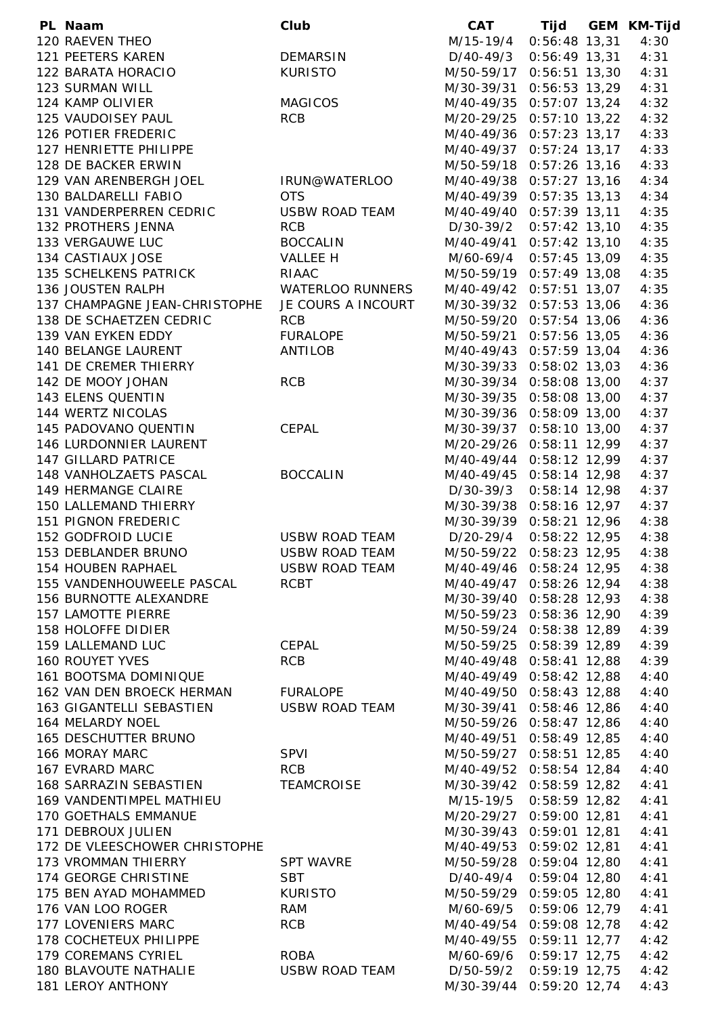| PL Naam                       | Club                  | <b>CAT</b>                |                 | Tijd GEM KM-Tijd |
|-------------------------------|-----------------------|---------------------------|-----------------|------------------|
| 120 RAEVEN THEO               |                       | M/15-19/4 0:56:48 13,31   |                 | 4:30             |
| 121 PEETERS KAREN             | <b>DEMARSIN</b>       | $D/40-49/3$ 0:56:49 13,31 |                 | 4:31             |
| 122 BARATA HORACIO            | <b>KURISTO</b>        | M/50-59/17 0:56:51 13,30  |                 | 4:31             |
| 123 SURMAN WILL               |                       | M/30-39/31 0:56:53 13,29  |                 | 4:31             |
| 124 KAMP OLIVIER              | <b>MAGICOS</b>        | M/40-49/35 0:57:07 13,24  |                 | 4:32             |
| 125 VAUDOISEY PAUL            | <b>RCB</b>            | M/20-29/25 0:57:10 13,22  |                 | 4:32             |
| 126 POTIER FREDERIC           |                       | M/40-49/36 0:57:23 13,17  |                 | 4:33             |
| 127 HENRIETTE PHILIPPE        |                       | M/40-49/37 0:57:24 13,17  |                 | 4:33             |
| 128 DE BACKER ERWIN           |                       | M/50-59/18 0:57:26 13,16  |                 | 4:33             |
| 129 VAN ARENBERGH JOEL        | IRUN@WATERLOO         | M/40-49/38 0:57:27 13,16  |                 | 4:34             |
| 130 BALDARELLI FABIO          | <b>OTS</b>            | M/40-49/39 0:57:35 13,13  |                 | 4:34             |
| 131 VANDERPERREN CEDRIC       | USBW ROAD TEAM        | M/40-49/40 0:57:39 13,11  |                 | 4:35             |
| 132 PROTHERS JENNA            | <b>RCB</b>            | D/30-39/2 0:57:42 13,10   |                 | 4:35             |
| 133 VERGAUWE LUC              | <b>BOCCALIN</b>       | M/40-49/41 0:57:42 13,10  |                 | 4:35             |
| 134 CASTIAUX JOSE             | VALLEE H              | M/60-69/4 0:57:45 13,09   |                 | 4:35             |
| 135 SCHELKENS PATRICK         | RIAAC                 | M/50-59/19 0:57:49 13,08  |                 | 4:35             |
| 136 JOUSTEN RALPH             | WATERLOO RUNNERS      | M/40-49/42 0:57:51 13,07  |                 | 4:35             |
| 137 CHAMPAGNE JEAN-CHRISTOPHE | JE COURS A INCOURT    | M/30-39/32 0:57:53 13,06  |                 | 4:36             |
| 138 DE SCHAETZEN CEDRIC       | <b>RCB</b>            | M/50-59/20 0:57:54 13,06  |                 | 4:36             |
| 139 VAN EYKEN EDDY            | <b>FURALOPE</b>       | M/50-59/21 0:57:56 13,05  |                 | 4:36             |
| 140 BELANGE LAURENT           | <b>ANTILOB</b>        | M/40-49/43 0:57:59 13,04  |                 | 4:36             |
| 141 DE CREMER THIERRY         |                       | M/30-39/33 0:58:02 13,03  |                 | 4:36             |
| 142 DE MOOY JOHAN             | <b>RCB</b>            | M/30-39/34 0:58:08 13,00  |                 | 4:37             |
| 143 ELENS QUENTIN             |                       | M/30-39/35 0:58:08 13,00  |                 | 4:37             |
| 144 WERTZ NICOLAS             |                       | M/30-39/36 0:58:09 13,00  |                 | 4:37             |
| 145 PADOVANO QUENTIN          | CEPAL                 | M/30-39/37 0:58:10 13,00  |                 | 4:37             |
| 146 LURDONNIER LAURENT        |                       | M/20-29/26 0:58:11 12,99  |                 | 4:37             |
| 147 GILLARD PATRICE           |                       | M/40-49/44 0:58:12 12,99  |                 | 4:37             |
| 148 VANHOLZAETS PASCAL        | <b>BOCCALIN</b>       | M/40-49/45 0:58:14 12,98  |                 | 4:37             |
| 149 HERMANGE CLAIRE           |                       | D/30-39/3 0:58:14 12,98   |                 | 4:37             |
| 150 LALLEMAND THIERRY         |                       | M/30-39/38 0:58:16 12,97  |                 | 4:37             |
| 151 PIGNON FREDERIC           |                       | M/30-39/39 0:58:21 12,96  |                 | 4:38             |
| 152 GODFROID LUCIE            | <b>USBW ROAD TEAM</b> | D/20-29/4 0:58:22 12,95   |                 | 4:38             |
| 153 DEBLANDER BRUNO           | <b>USBW ROAD TEAM</b> | M/50-59/22 0:58:23 12,95  |                 | 4:38             |
| 154 HOUBEN RAPHAEL            | USBW ROAD TEAM        | M/40-49/46 0:58:24 12,95  |                 | 4:38             |
| 155 VANDENHOUWEELE PASCAL     | <b>RCBT</b>           | M/40-49/47 0:58:26 12,94  |                 | 4:38             |
| 156 BURNOTTE ALEXANDRE        |                       | M/30-39/40 0:58:28 12,93  |                 | 4:38             |
| <b>157 LAMOTTE PIERRE</b>     |                       | M/50-59/23 0:58:36 12,90  |                 | 4:39             |
| 158 HOLOFFE DIDIER            |                       | M/50-59/24 0:58:38 12,89  |                 | 4:39             |
| 159 LALLEMAND LUC             | CEPAL                 | M/50-59/25 0:58:39 12,89  |                 | 4:39             |
| <b>160 ROUYET YVES</b>        | <b>RCB</b>            | M/40-49/48 0:58:41 12,88  |                 | 4:39             |
| 161 BOOTSMA DOMINIQUE         |                       | M/40-49/49 0:58:42 12,88  |                 | 4:40             |
| 162 VAN DEN BROECK HERMAN     | <b>FURALOPE</b>       | M/40-49/50 0:58:43 12,88  |                 | 4:40             |
| 163 GIGANTELLI SEBASTIEN      | USBW ROAD TEAM        | M/30-39/41 0:58:46 12,86  |                 | 4:40             |
| 164 MELARDY NOEL              |                       | M/50-59/26 0:58:47 12,86  |                 | 4:40             |
| 165 DESCHUTTER BRUNO          |                       | M/40-49/51 0:58:49 12,85  |                 | 4:40             |
| 166 MORAY MARC                | <b>SPVI</b>           | M/50-59/27 0:58:51 12,85  |                 | 4:40             |
| 167 EVRARD MARC               | <b>RCB</b>            | M/40-49/52 0:58:54 12,84  |                 | 4:40             |
| 168 SARRAZIN SEBASTIEN        | TEAMCROISE            | M/30-39/42 0:58:59 12,82  |                 | 4:41             |
| 169 VANDENTIMPEL MATHIEU      |                       | M/15-19/5 0:58:59 12,82   |                 | 4:41             |
| <b>170 GOETHALS EMMANUE</b>   |                       | M/20-29/27 0:59:00 12,81  |                 | 4:41             |
| 171 DEBROUX JULIEN            |                       | M/30-39/43 0:59:01 12,81  |                 | 4:41             |
| 172 DE VLEESCHOWER CHRISTOPHE |                       | M/40-49/53 0:59:02 12,81  |                 | 4:41             |
| 173 VROMMAN THIERRY           | SPT WAVRE             | M/50-59/28 0:59:04 12,80  |                 | 4:41             |
| 174 GEORGE CHRISTINE          | <b>SBT</b>            | D/40-49/4 0:59:04 12,80   |                 | 4:41             |
| 175 BEN AYAD MOHAMMED         | <b>KURISTO</b>        | M/50-59/29 0:59:05 12,80  |                 | 4:41             |
| 176 VAN LOO ROGER             | RAM                   | M/60-69/5                 | $0:59:06$ 12,79 | 4:41             |
| 177 LOVENIERS MARC            | <b>RCB</b>            | M/40-49/54 0:59:08 12,78  |                 | 4:42             |
| 178 COCHETEUX PHILIPPE        |                       | M/40-49/55 0:59:11 12,77  |                 | 4:42             |
| 179 COREMANS CYRIEL           | <b>ROBA</b>           | M/60-69/6 0:59:17 12,75   |                 | 4:42             |
| 180 BLAVOUTE NATHALIE         | USBW ROAD TEAM        | D/50-59/2 0:59:19 12,75   |                 | 4:42             |
| 181 LEROY ANTHONY             |                       | M/30-39/44 0:59:20 12,74  |                 | 4:43             |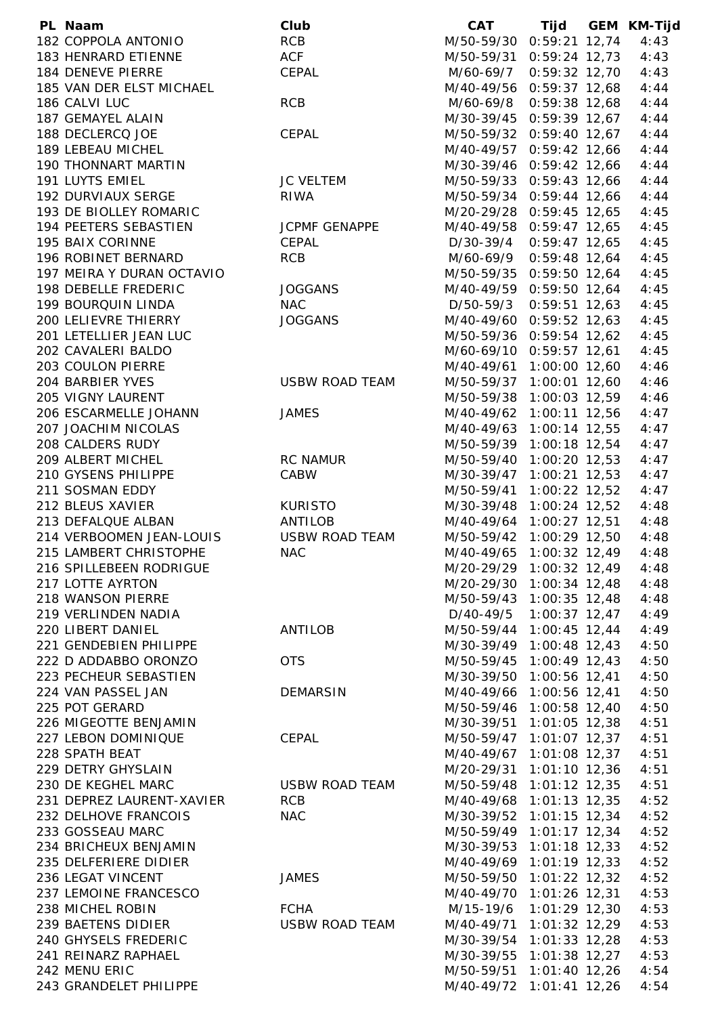| PL Naam                                   | Club                  | <b>CAT</b>               |                 | Tijd GEM KM-Tijd |
|-------------------------------------------|-----------------------|--------------------------|-----------------|------------------|
| 182 COPPOLA ANTONIO                       | <b>RCB</b>            | M/50-59/30 0:59:21 12,74 |                 | 4:43             |
| 183 HENRARD ETIENNE                       | <b>ACF</b>            | M/50-59/31 0:59:24 12,73 |                 | 4:43             |
| 184 DENEVE PIERRE                         | CEPAL                 | M/60-69/7 0:59:32 12,70  |                 | 4:43             |
| 185 VAN DER ELST MICHAEL                  |                       | M/40-49/56 0:59:37 12,68 |                 | 4:44             |
| 186 CALVI LUC                             | <b>RCB</b>            | M/60-69/8 0:59:38 12,68  |                 | 4:44             |
| 187 GEMAYEL ALAIN                         |                       | M/30-39/45 0:59:39 12,67 |                 | 4:44             |
| 188 DECLERCQ JOE                          | CEPAL                 | M/50-59/32 0:59:40 12,67 |                 | 4:44             |
| 189 LEBEAU MICHEL                         |                       | M/40-49/57 0:59:42 12,66 |                 | 4:44             |
| 190 THONNART MARTIN                       |                       | M/30-39/46 0:59:42 12,66 |                 | 4:44             |
| 191 LUYTS EMIEL                           | <b>JC VELTEM</b>      | M/50-59/33 0:59:43 12,66 |                 | 4:44             |
| 192 DURVIAUX SERGE                        | <b>RIWA</b>           | M/50-59/34 0:59:44 12,66 |                 | 4:44             |
| 193 DE BIOLLEY ROMARIC                    |                       | M/20-29/28 0:59:45 12,65 |                 | 4:45             |
| 194 PEETERS SEBASTIEN                     | JCPMF GENAPPE         | M/40-49/58 0:59:47 12,65 |                 | 4:45             |
| 195 BAIX CORINNE                          | CEPAL                 | D/30-39/4 0:59:47 12,65  |                 | 4:45             |
| 196 ROBINET BERNARD                       | <b>RCB</b>            | M/60-69/9 0:59:48 12,64  |                 | 4:45             |
| 197 MEIRA Y DURAN OCTAVIO                 |                       | M/50-59/35 0:59:50 12,64 |                 | 4:45             |
| 198 DEBELLE FREDERIC                      | <b>JOGGANS</b>        | M/40-49/59 0:59:50 12,64 |                 | 4:45             |
| 199 BOURQUIN LINDA                        | <b>NAC</b>            | D/50-59/3 0:59:51 12,63  |                 | 4:45             |
| 200 LELIEVRE THIERRY                      | <b>JOGGANS</b>        | M/40-49/60 0:59:52 12,63 |                 | 4:45             |
| 201 LETELLIER JEAN LUC                    |                       | M/50-59/36 0:59:54 12,62 |                 | 4:45             |
| 202 CAVALERI BALDO                        |                       | M/60-69/10 0:59:57 12,61 |                 | 4:45             |
| 203 COULON PIERRE                         |                       | M/40-49/61 1:00:00 12,60 |                 | 4:46             |
| 204 BARBIER YVES                          | <b>USBW ROAD TEAM</b> | M/50-59/37               | 1:00:01 12,60   | 4:46             |
| 205 VIGNY LAURENT                         |                       | M/50-59/38               | $1:00:03$ 12,59 | 4:46             |
| 206 ESCARMELLE JOHANN                     | <b>JAMES</b>          | M/40-49/62 1:00:11 12,56 |                 | 4:47             |
| 207 JOACHIM NICOLAS                       |                       | M/40-49/63 1:00:14 12,55 |                 | 4:47             |
| 208 CALDERS RUDY                          |                       | M/50-59/39 1:00:18 12,54 |                 | 4:47             |
| 209 ALBERT MICHEL                         | <b>RC NAMUR</b>       | M/50-59/40 1:00:20 12,53 |                 | 4:47             |
| 210 GYSENS PHILIPPE                       | CABW                  | M/30-39/47               | $1:00:21$ 12,53 | 4:47             |
| 211 SOSMAN EDDY                           |                       | M/50-59/41               | $1:00:22$ 12,52 | 4:47             |
| 212 BLEUS XAVIER                          | <b>KURISTO</b>        | M/30-39/48 1:00:24 12,52 |                 | 4:48             |
| 213 DEFALQUE ALBAN                        | ANTILOB               | M/40-49/64 1:00:27 12,51 |                 | 4:48             |
| 214 VERBOOMEN JEAN-LOUIS                  | <b>USBW ROAD TEAM</b> | M/50-59/42 1:00:29 12,50 |                 | 4:48             |
| 215 LAMBERT CHRISTOPHE                    | <b>NAC</b>            | M/40-49/65               | $1:00:32$ 12,49 | 4:48             |
| 216 SPILLEBEEN RODRIGUE                   |                       | M/20-29/29 1:00:32 12,49 |                 | 4:48             |
| 217 LOTTE AYRTON                          |                       | M/20-29/30 1:00:34 12,48 |                 | 4:48             |
| 218 WANSON PIERRE                         |                       | M/50-59/43 1:00:35 12,48 |                 | 4:48             |
| 219 VERLINDEN NADIA                       |                       | D/40-49/5                | $1:00:37$ 12,47 | 4:49             |
| 220 LIBERT DANIEL                         | ANTILOB               | M/50-59/44 1:00:45 12,44 |                 | 4:49             |
| 221 GENDEBIEN PHILIPPE                    |                       | M/30-39/49 1:00:48 12,43 |                 | 4:50             |
| 222 D ADDABBO ORONZO                      | <b>OTS</b>            | M/50-59/45 1:00:49 12,43 |                 | 4:50             |
| 223 PECHEUR SEBASTIEN                     |                       | M/30-39/50 1:00:56 12,41 |                 | 4:50             |
| 224 VAN PASSEL JAN                        | <b>DEMARSIN</b>       | M/40-49/66 1:00:56 12,41 |                 | 4:50             |
| 225 POT GERARD                            |                       | M/50-59/46               | $1:00:58$ 12,40 | 4:50             |
| 226 MIGEOTTE BENJAMIN                     |                       | M/30-39/51               | $1:01:05$ 12,38 | 4:51             |
| 227 LEBON DOMINIQUE                       | CEPAL                 | M/50-59/47               | $1:01:07$ 12,37 | 4:51             |
| 228 SPATH BEAT                            |                       | M/40-49/67 1:01:08 12,37 |                 | 4:51             |
| 229 DETRY GHYSLAIN                        |                       | M/20-29/31 1:01:10 12,36 |                 | 4:51             |
| 230 DE KEGHEL MARC                        | <b>USBW ROAD TEAM</b> | M/50-59/48 1:01:12 12,35 |                 | 4:51             |
| 231 DEPREZ LAURENT-XAVIER                 | <b>RCB</b>            | M/40-49/68 1:01:13 12,35 |                 | 4:52             |
| 232 DELHOVE FRANCOIS                      | <b>NAC</b>            | M/30-39/52 1:01:15 12,34 |                 | 4:52             |
| 233 GOSSEAU MARC                          |                       | M/50-59/49 1:01:17 12,34 |                 | 4:52             |
| 234 BRICHEUX BENJAMIN                     |                       | M/30-39/53 1:01:18 12,33 |                 | 4:52             |
| 235 DELFERIERE DIDIER                     |                       | M/40-49/69 1:01:19 12,33 |                 | 4:52             |
| 236 LEGAT VINCENT                         | <b>JAMES</b>          |                          |                 | 4:52             |
|                                           |                       | M/50-59/50 1:01:22 12,32 |                 |                  |
| 237 LEMOINE FRANCESCO<br>238 MICHEL ROBIN | <b>FCHA</b>           | M/40-49/70 1:01:26 12,31 |                 | 4:53             |
| 239 BAETENS DIDIER                        | <b>USBW ROAD TEAM</b> | M/15-19/6                | $1:01:29$ 12,30 | 4:53             |
|                                           |                       | M/40-49/71               | $1:01:32$ 12,29 | 4:53             |
| 240 GHYSELS FREDERIC                      |                       | M/30-39/54               | $1:01:33$ 12,28 | 4:53             |
| 241 REINARZ RAPHAEL                       |                       | M/30-39/55 1:01:38 12,27 |                 | 4:53             |
| 242 MENU ERIC                             |                       | M/50-59/51 1:01:40 12,26 |                 | 4:54             |
| 243 GRANDELET PHILIPPE                    |                       | M/40-49/72 1:01:41 12,26 |                 | 4:54             |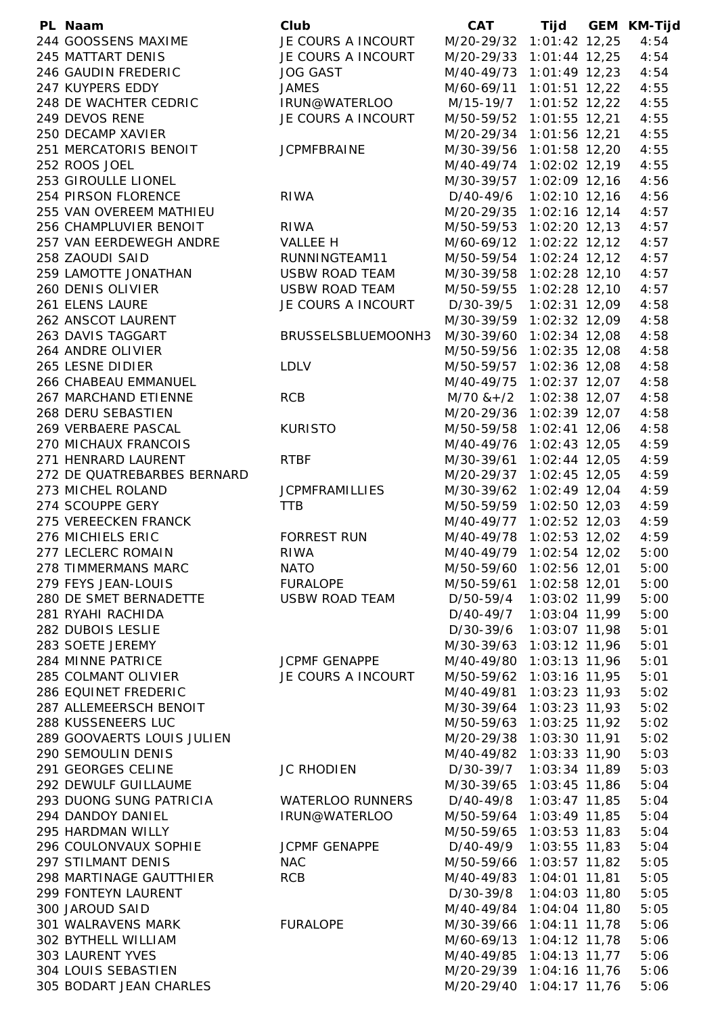| PL Naam                     | Club                    | <b>CAT</b>               |                 | Tijd GEM KM-Tijd |
|-----------------------------|-------------------------|--------------------------|-----------------|------------------|
| 244 GOOSSENS MAXIME         | JE COURS A INCOURT      | M/20-29/32 1:01:42 12,25 |                 | 4:54             |
| 245 MATTART DENIS           | JE COURS A INCOURT      | M/20-29/33 1:01:44 12,25 |                 | 4:54             |
| 246 GAUDIN FREDERIC         | <b>JOG GAST</b>         | M/40-49/73 1:01:49 12,23 |                 | 4:54             |
| 247 KUYPERS EDDY            | <b>JAMES</b>            | M/60-69/11 1:01:51 12,22 |                 | 4:55             |
| 248 DE WACHTER CEDRIC       | IRUN@WATERLOO           | M/15-19/7                | $1:01:52$ 12,22 | 4:55             |
| 249 DEVOS RENE              | JE COURS A INCOURT      | M/50-59/52 1:01:55 12,21 |                 | 4:55             |
| 250 DECAMP XAVIER           |                         | M/20-29/34 1:01:56 12,21 |                 | 4:55             |
| 251 MERCATORIS BENOIT       | <b>JCPMFBRAINE</b>      | M/30-39/56               | $1:01:58$ 12,20 | 4:55             |
| 252 ROOS JOEL               |                         | M/40-49/74               | $1:02:02$ 12,19 | 4:55             |
| 253 GIROULLE LIONEL         |                         | M/30-39/57               | $1:02:09$ 12,16 | 4:56             |
| 254 PIRSON FLORENCE         | <b>RIWA</b>             | D/40-49/6                | $1:02:10$ 12,16 | 4:56             |
| 255 VAN OVEREEM MATHIEU     |                         | M/20-29/35 1:02:16 12,14 |                 | 4:57             |
| 256 CHAMPLUVIER BENOIT      | <b>RIWA</b>             | M/50-59/53 1:02:20 12,13 |                 | 4:57             |
| 257 VAN EERDEWEGH ANDRE     | <b>VALLEE H</b>         | M/60-69/12 1:02:22 12,12 |                 | 4:57             |
| 258 ZAOUDI SAID             | RUNNINGTEAM11           | M/50-59/54               | $1:02:24$ 12,12 | 4:57             |
| 259 LAMOTTE JONATHAN        | USBW ROAD TEAM          | M/30-39/58               | $1:02:28$ 12,10 | 4:57             |
| 260 DENIS OLIVIER           | USBW ROAD TEAM          | M/50-59/55 1:02:28 12,10 |                 | 4:57             |
| 261 ELENS LAURE             | JE COURS A INCOURT      | D/30-39/5                | $1:02:31$ 12,09 | 4:58             |
| 262 ANSCOT LAURENT          |                         | M/30-39/59 1:02:32 12,09 |                 | 4:58             |
| 263 DAVIS TAGGART           | BRUSSELSBLUEMOONH3      | M/30-39/60 1:02:34 12,08 |                 | 4:58             |
| 264 ANDRE OLIVIER           |                         | M/50-59/56               | $1:02:35$ 12,08 | 4:58             |
| 265 LESNE DIDIER            | <b>LDLV</b>             | M/50-59/57               | $1:02:36$ 12,08 | 4:58             |
| 266 CHABEAU EMMANUEL        |                         | M/40-49/75               | $1:02:37$ 12,07 | 4:58             |
| 267 MARCHAND ETIENNE        | <b>RCB</b>              | $M/70$ & + $/2$          | $1:02:38$ 12,07 | 4:58             |
| 268 DERU SEBASTIEN          |                         | M/20-29/36 1:02:39 12,07 |                 | 4:58             |
| 269 VERBAERE PASCAL         | <b>KURISTO</b>          | M/50-59/58 1:02:41 12,06 |                 | 4:58             |
| 270 MICHAUX FRANCOIS        |                         | M/40-49/76 1:02:43 12,05 |                 | 4:59             |
| 271 HENRARD LAURENT         | <b>RTBF</b>             | M/30-39/61               | $1:02:44$ 12,05 | 4:59             |
| 272 DE QUATREBARBES BERNARD |                         | M/20-29/37               | $1:02:45$ 12,05 | 4:59             |
| 273 MICHEL ROLAND           | <b>JCPMFRAMILLIES</b>   | M/30-39/62               | $1:02:49$ 12,04 | 4:59             |
| 274 SCOUPPE GERY            | <b>TTB</b>              | M/50-59/59 1:02:50 12,03 |                 | 4:59             |
| 275 VEREECKEN FRANCK        |                         | M/40-49/77 1:02:52 12,03 |                 | 4:59             |
| 276 MICHIELS ERIC           | <b>FORREST RUN</b>      | M/40-49/78 1:02:53 12,02 |                 | 4:59             |
| 277 LECLERC ROMAIN          | <b>RIWA</b>             | M/40-49/79               | 1:02:54 12,02   | 5:00             |
| 278 TIMMERMANS MARC         | <b>NATO</b>             | M/50-59/60 1:02:56 12,01 |                 | 5:00             |
| 279 FEYS JEAN-LOUIS         | FURALOPE                | M/50-59/61               | $1:02:58$ 12,01 | 5:00             |
| 280 DE SMET BERNADETTE      | <b>USBW ROAD TEAM</b>   | D/50-59/4                | 1:03:02 11,99   | 5:00             |
| 281 RYAHI RACHIDA           |                         | D/40-49/7                | 1:03:04 11,99   | 5:00             |
| 282 DUBOIS LESLIE           |                         | D/30-39/6                | 1:03:07 11,98   | 5:01             |
| 283 SOETE JEREMY            |                         | M/30-39/63 1:03:12 11,96 |                 | 5:01             |
| 284 MINNE PATRICE           | <b>JCPMF GENAPPE</b>    | M/40-49/80               | $1:03:13$ 11,96 | 5:01             |
| 285 COLMANT OLIVIER         | JE COURS A INCOURT      | M/50-59/62               | $1:03:16$ 11,95 | 5:01             |
| 286 EQUINET FREDERIC        |                         | M/40-49/81               | $1:03:23$ 11,93 | 5:02             |
| 287 ALLEMEERSCH BENOIT      |                         | M/30-39/64               | $1:03:23$ 11,93 | 5:02             |
| 288 KUSSENEERS LUC          |                         | M/50-59/63               | $1:03:25$ 11,92 | 5:02             |
| 289 GOOVAERTS LOUIS JULIEN  |                         | M/20-29/38               | 1:03:30 11,91   | 5:02             |
| 290 SEMOULIN DENIS          |                         | M/40-49/82 1:03:33 11,90 |                 | 5:03             |
| 291 GEORGES CELINE          | <b>JC RHODIEN</b>       | D/30-39/7                | 1:03:34 11,89   | 5:03             |
| 292 DEWULF GUILLAUME        |                         | M/30-39/65 1:03:45 11,86 |                 | 5:04             |
| 293 DUONG SUNG PATRICIA     | <b>WATERLOO RUNNERS</b> | D/40-49/8                | $1:03:47$ 11,85 | 5:04             |
| 294 DANDOY DANIEL           | IRUN@WATERLOO           | M/50-59/64               | 1:03:49 11,85   | 5:04             |
| 295 HARDMAN WILLY           |                         | M/50-59/65               | $1:03:53$ 11,83 | 5:04             |
| 296 COULONVAUX SOPHIE       | <b>JCPMF GENAPPE</b>    | D/40-49/9                | $1:03:55$ 11,83 | 5:04             |
| 297 STILMANT DENIS          | <b>NAC</b>              | M/50-59/66               | $1:03:57$ 11,82 | 5:05             |
| 298 MARTINAGE GAUTTHIER     | <b>RCB</b>              | M/40-49/83 1:04:01 11,81 |                 | 5:05             |
| 299 FONTEYN LAURENT         |                         | D/30-39/8                | $1:04:03$ 11,80 | 5:05             |
| 300 JAROUD SAID             |                         | M/40-49/84               | $1:04:04$ 11,80 | 5:05             |
| 301 WALRAVENS MARK          | <b>FURALOPE</b>         | M/30-39/66               | $1:04:11$ 11,78 | 5:06             |
| 302 BYTHELL WILLIAM         |                         | M/60-69/13               | $1:04:12$ 11,78 | 5:06             |
| <b>303 LAURENT YVES</b>     |                         | M/40-49/85 1:04:13 11,77 |                 | 5:06             |
| 304 LOUIS SEBASTIEN         |                         | M/20-29/39 1:04:16 11,76 |                 | 5:06             |
| 305 BODART JEAN CHARLES     |                         | M/20-29/40 1:04:17 11,76 |                 | 5:06             |
|                             |                         |                          |                 |                  |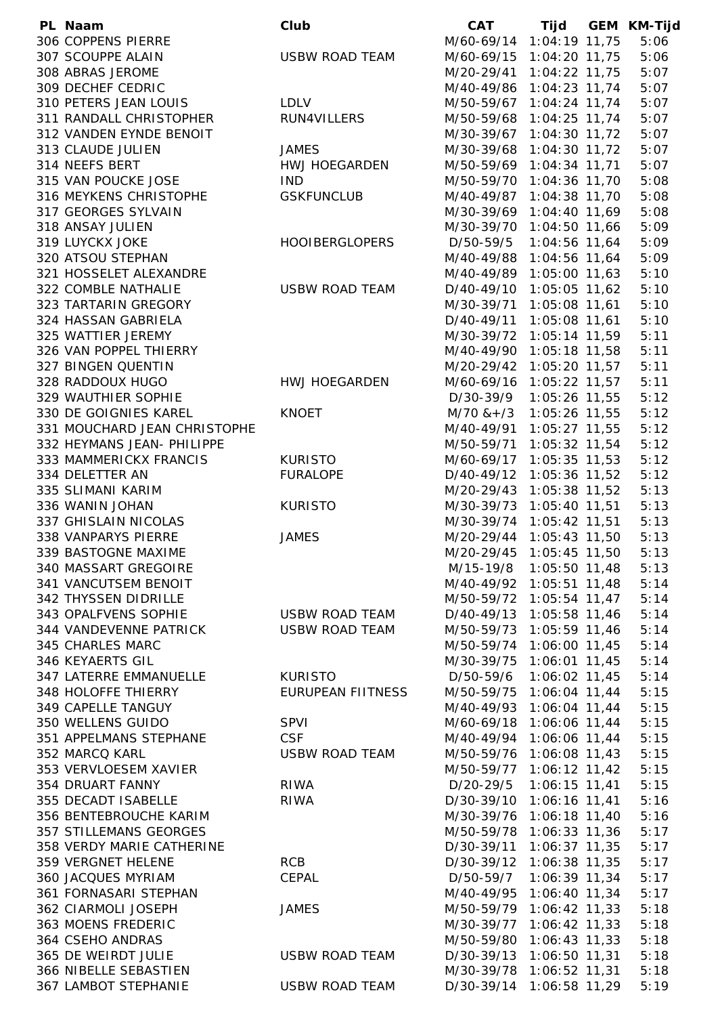| PL Naam                      | Club                     | <b>CAT</b>               |                 | Tijd GEM KM-Tijd |
|------------------------------|--------------------------|--------------------------|-----------------|------------------|
| 306 COPPENS PIERRE           |                          | M/60-69/14 1:04:19 11,75 |                 | 5:06             |
| 307 SCOUPPE ALAIN            | <b>USBW ROAD TEAM</b>    | M/60-69/15 1:04:20 11,75 |                 | 5:06             |
| 308 ABRAS JEROME             |                          | M/20-29/41 1:04:22 11,75 |                 | 5:07             |
| 309 DECHEF CEDRIC            |                          | M/40-49/86 1:04:23 11,74 |                 | 5:07             |
| 310 PETERS JEAN LOUIS        | <b>LDLV</b>              | M/50-59/67               | $1:04:24$ 11,74 | 5:07             |
| 311 RANDALL CHRISTOPHER      | RUN4VILLERS              | M/50-59/68               | $1:04:25$ 11,74 | 5:07             |
| 312 VANDEN EYNDE BENOIT      |                          | M/30-39/67               | $1:04:30$ 11,72 | 5:07             |
| 313 CLAUDE JULIEN            | <b>JAMES</b>             | M/30-39/68               | $1:04:30$ 11,72 | 5:07             |
| 314 NEEFS BERT               | <b>HWJ HOEGARDEN</b>     | M/50-59/69               | $1:04:34$ 11,71 | 5:07             |
| 315 VAN POUCKE JOSE          | <b>IND</b>               | M/50-59/70 1:04:36 11,70 |                 | 5:08             |
| 316 MEYKENS CHRISTOPHE       | <b>GSKFUNCLUB</b>        | M/40-49/87 1:04:38 11,70 |                 | 5:08             |
| 317 GEORGES SYLVAIN          |                          | M/30-39/69 1:04:40 11,69 |                 | 5:08             |
| 318 ANSAY JULIEN             |                          | M/30-39/70 1:04:50 11,66 |                 | 5:09             |
| 319 LUYCKX JOKE              | <b>HOOIBERGLOPERS</b>    | D/50-59/5                | 1:04:56 11,64   | 5:09             |
| 320 ATSOU STEPHAN            |                          | M/40-49/88               | 1:04:56 11,64   | 5:09             |
| 321 HOSSELET ALEXANDRE       |                          | M/40-49/89               | 1:05:00 11,63   | 5:10             |
| 322 COMBLE NATHALIE          | <b>USBW ROAD TEAM</b>    | D/40-49/10 1:05:05 11,62 |                 | 5:10             |
| 323 TARTARIN GREGORY         |                          | M/30-39/71 1:05:08 11,61 |                 | 5:10             |
| 324 HASSAN GABRIELA          |                          | D/40-49/11               | 1:05:08 11,61   | 5:10             |
| 325 WATTIER JEREMY           |                          | M/30-39/72               | 1:05:14 11,59   | 5:11             |
| 326 VAN POPPEL THIERRY       |                          |                          | $1:05:18$ 11,58 | 5:11             |
| 327 BINGEN QUENTIN           |                          | M/40-49/90               |                 | 5:11             |
|                              |                          | M/20-29/42               | 1:05:20 11,57   |                  |
| 328 RADDOUX HUGO             | HWJ HOEGARDEN            | M/60-69/16 1:05:22 11,57 |                 | 5:11             |
| 329 WAUTHIER SOPHIE          |                          | D/30-39/9                | $1:05:26$ 11,55 | 5:12             |
| 330 DE GOIGNIES KAREL        | <b>KNOET</b>             | $M/70$ & + /3            | $1:05:26$ 11,55 | 5:12             |
| 331 MOUCHARD JEAN CHRISTOPHE |                          | M/40-49/91               | $1:05:27$ 11,55 | 5:12             |
| 332 HEYMANS JEAN- PHILIPPE   |                          | M/50-59/71               | 1:05:32 11,54   | 5:12             |
| 333 MAMMERICKX FRANCIS       | <b>KURISTO</b>           | M/60-69/17               | $1:05:35$ 11,53 | 5:12             |
| 334 DELETTER AN              | <b>FURALOPE</b>          | D/40-49/12               | $1:05:36$ 11,52 | 5:12             |
| 335 SLIMANI KARIM            |                          | M/20-29/43               | 1:05:38 11,52   | 5:13             |
| 336 WANIN JOHAN              | <b>KURISTO</b>           | M/30-39/73 1:05:40 11,51 |                 | 5:13             |
| 337 GHISLAIN NICOLAS         |                          | M/30-39/74 1:05:42 11,51 |                 | 5:13             |
| 338 VANPARYS PIERRE          | <b>JAMES</b>             | M/20-29/44 1:05:43 11,50 |                 | 5:13             |
| 339 BASTOGNE MAXIME          |                          | M/20-29/45               | 1:05:45 11,50   | 5:13             |
| 340 MASSART GREGOIRE         |                          | M/15-19/8 1:05:50 11,48  |                 | 5:13             |
| 341 VANCUTSEM BENOIT         |                          | M/40-49/92 1:05:51 11,48 |                 | 5:14             |
| 342 THYSSEN DIDRILLE         |                          | M/50-59/72 1:05:54 11,47 |                 | 5:14             |
| 343 OPALFVENS SOPHIE         | USBW ROAD TEAM           | D/40-49/13 1:05:58 11,46 |                 | 5:14             |
| 344 VANDEVENNE PATRICK       | <b>USBW ROAD TEAM</b>    | M/50-59/73 1:05:59 11,46 |                 | 5:14             |
| 345 CHARLES MARC             |                          | M/50-59/74               | 1:06:00 11,45   | 5:14             |
| 346 KEYAERTS GIL             |                          | M/30-39/75               | 1:06:01 11,45   | 5:14             |
| 347 LATERRE EMMANUELLE       | <b>KURISTO</b>           | D/50-59/6                | $1:06:02$ 11,45 | 5:14             |
| 348 HOLOFFE THIERRY          | <b>EURUPEAN FIITNESS</b> | M/50-59/75               | $1:06:04$ 11,44 | 5:15             |
| 349 CAPELLE TANGUY           |                          | M/40-49/93               | $1:06:04$ 11,44 | 5:15             |
| 350 WELLENS GUIDO            | <b>SPVI</b>              | M/60-69/18               | 1:06:06 11,44   | 5:15             |
| 351 APPELMANS STEPHANE       | <b>CSF</b>               | M/40-49/94               | 1:06:06 11,44   | 5:15             |
| 352 MARCQ KARL               | <b>USBW ROAD TEAM</b>    | M/50-59/76               | 1:06:08 11,43   | 5:15             |
| 353 VERVLOESEM XAVIER        |                          | M/50-59/77 1:06:12 11,42 |                 | 5:15             |
| 354 DRUART FANNY             | <b>RIWA</b>              | D/20-29/5                | $1:06:15$ 11,41 | 5:15             |
| 355 DECADT ISABELLE          | <b>RIWA</b>              | D/30-39/10               | 1:06:16 11,41   | 5:16             |
| 356 BENTEBROUCHE KARIM       |                          | M/30-39/76               | 1:06:18 11,40   | 5:16             |
| 357 STILLEMANS GEORGES       |                          | M/50-59/78 1:06:33 11,36 |                 | 5:17             |
| 358 VERDY MARIE CATHERINE    |                          | D/30-39/11               | $1:06:37$ 11,35 | 5:17             |
| 359 VERGNET HELENE           | <b>RCB</b>               | D/30-39/12 1:06:38 11,35 |                 | 5:17             |
| 360 JACQUES MYRIAM           | CEPAL                    | D/50-59/7                | $1:06:39$ 11,34 | 5:17             |
| 361 FORNASARI STEPHAN        |                          | M/40-49/95               | $1:06:40$ 11,34 | 5:17             |
| 362 CIARMOLI JOSEPH          | <b>JAMES</b>             | M/50-59/79               | $1:06:42$ 11,33 | 5:18             |
| 363 MOENS FREDERIC           |                          | M/30-39/77               | $1:06:42$ 11,33 | 5:18             |
| 364 CSEHO ANDRAS             |                          | M/50-59/80               | $1:06:43$ 11,33 | 5:18             |
| 365 DE WEIRDT JULIE          | <b>USBW ROAD TEAM</b>    | D/30-39/13 1:06:50 11,31 |                 | 5:18             |
| 366 NIBELLE SEBASTIEN        |                          | M/30-39/78 1:06:52 11,31 |                 | 5:18             |
| 367 LAMBOT STEPHANIE         | <b>USBW ROAD TEAM</b>    | D/30-39/14 1:06:58 11,29 |                 | 5:19             |
|                              |                          |                          |                 |                  |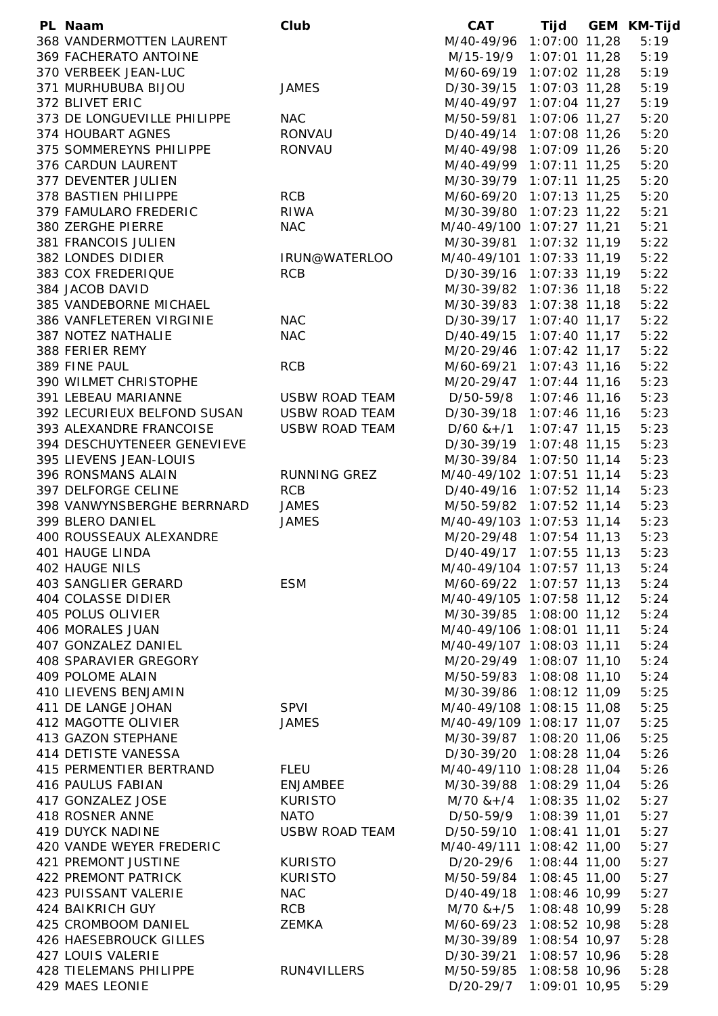| PL Naam                     | Club                  | <b>CAT</b>                  |                 | Tijd GEM KM-Tijd |
|-----------------------------|-----------------------|-----------------------------|-----------------|------------------|
| 368 VANDERMOTTEN LAURENT    |                       | M/40-49/96 1:07:00 11,28    |                 | 5:19             |
| 369 FACHERATO ANTOINE       |                       | M/15-19/9                   | $1:07:01$ 11,28 | 5:19             |
| 370 VERBEEK JEAN-LUC        |                       | M/60-69/19 1:07:02 11,28    |                 | 5:19             |
| 371 MURHUBUBA BIJOU         | <b>JAMES</b>          | D/30-39/15 1:07:03 11,28    |                 | 5:19             |
| 372 BLIVET ERIC             |                       | M/40-49/97 1:07:04 11,27    |                 | 5:19             |
| 373 DE LONGUEVILLE PHILIPPE | <b>NAC</b>            | M/50-59/81 1:07:06 11,27    |                 | 5:20             |
| 374 HOUBART AGNES           | RONVAU                | D/40-49/14 1:07:08 11,26    |                 | 5:20             |
| 375 SOMMEREYNS PHILIPPE     | <b>RONVAU</b>         | M/40-49/98 1:07:09 11,26    |                 | 5:20             |
| 376 CARDUN LAURENT          |                       | M/40-49/99 1:07:11 11,25    |                 | 5:20             |
| 377 DEVENTER JULIEN         |                       | M/30-39/79 1:07:11 11,25    |                 | 5:20             |
| 378 BASTIEN PHILIPPE        | <b>RCB</b>            | M/60-69/20 1:07:13 11,25    |                 | 5:20             |
| 379 FAMULARO FREDERIC       | <b>RIWA</b>           | M/30-39/80 1:07:23 11,22    |                 | 5:21             |
| 380 ZERGHE PIERRE           | <b>NAC</b>            | M/40-49/100 1:07:27 11,21   |                 | 5:21             |
| 381 FRANCOIS JULIEN         |                       | M/30-39/81 1:07:32 11,19    |                 | 5:22             |
| 382 LONDES DIDIER           | IRUN@WATERLOO         | M/40-49/101 1:07:33 11,19   |                 | 5:22             |
| 383 COX FREDERIQUE          | <b>RCB</b>            | D/30-39/16 1:07:33 11,19    |                 | 5:22             |
| 384 JACOB DAVID             |                       | M/30-39/82 1:07:36 11,18    |                 | 5:22             |
| 385 VANDEBORNE MICHAEL      |                       | M/30-39/83 1:07:38 11,18    |                 | 5:22             |
| 386 VANFLETEREN VIRGINIE    | <b>NAC</b>            | D/30-39/17 1:07:40 11,17    |                 | 5:22             |
| 387 NOTEZ NATHALIE          | <b>NAC</b>            | D/40-49/15 1:07:40 11,17    |                 | 5:22             |
| 388 FERIER REMY             |                       | M/20-29/46 1:07:42 11,17    |                 | 5:22             |
| 389 FINE PAUL               | <b>RCB</b>            | M/60-69/21 1:07:43 11,16    |                 | 5:22             |
| 390 WILMET CHRISTOPHE       |                       | M/20-29/47 1:07:44 11,16    |                 | 5:23             |
| 391 LEBEAU MARIANNE         | <b>USBW ROAD TEAM</b> | D/50-59/8                   | $1:07:46$ 11,16 | 5:23             |
| 392 LECURIEUX BELFOND SUSAN | USBW ROAD TEAM        | D/30-39/18 1:07:46 11,16    |                 | 5:23             |
| 393 ALEXANDRE FRANCOISE     | <b>USBW ROAD TEAM</b> | $D/60$ & +/1                | $1:07:47$ 11,15 | 5:23             |
| 394 DESCHUYTENEER GENEVIEVE |                       | D/30-39/19 1:07:48 11,15    |                 | 5:23             |
| 395 LIEVENS JEAN-LOUIS      |                       | M/30-39/84 1:07:50 11,14    |                 | 5:23             |
| 396 RONSMANS ALAIN          | RUNNING GREZ          | M/40-49/102 1:07:51 11,14   |                 | 5:23             |
| 397 DELFORGE CELINE         | <b>RCB</b>            | D/40-49/16 1:07:52 11,14    |                 | 5:23             |
| 398 VANWYNSBERGHE BERRNARD  | <b>JAMES</b>          | M/50-59/82 1:07:52 11,14    |                 | 5:23             |
| 399 BLERO DANIEL            | <b>JAMES</b>          | M/40-49/103 1:07:53 11,14   |                 | 5:23             |
| 400 ROUSSEAUX ALEXANDRE     |                       | M/20-29/48 1:07:54 11,13    |                 | 5:23             |
| <b>401 HAUGE LINDA</b>      |                       | D/40-49/17 1:07:55 11,13    |                 | 5:23             |
| 402 HAUGE NILS              |                       | M/40-49/104 1:07:57 11,13   |                 | 5:24             |
| 403 SANGLIER GERARD         | <b>ESM</b>            | M/60-69/22 1:07:57 11,13    |                 | 5:24             |
| <b>404 COLASSE DIDIER</b>   |                       | M/40-49/105 1:07:58 11,12   |                 | 5:24             |
| 405 POLUS OLIVIER           |                       | M/30-39/85 1:08:00 11,12    |                 | 5:24             |
| 406 MORALES JUAN            |                       | M/40-49/106 1:08:01 11,11   |                 | 5:24             |
| 407 GONZALEZ DANIEL         |                       | M/40-49/107 1:08:03 11,11   |                 | 5:24             |
| 408 SPARAVIER GREGORY       |                       | M/20-29/49 1:08:07 11,10    |                 | 5:24             |
| 409 POLOME ALAIN            |                       | M/50-59/83 1:08:08 11,10    |                 | 5:24             |
| 410 LIEVENS BENJAMIN        |                       | M/30-39/86 1:08:12 11,09    |                 | 5:25             |
| 411 DE LANGE JOHAN          | <b>SPVI</b>           | M/40-49/108 1:08:15 11,08   |                 | 5:25             |
| 412 MAGOTTE OLIVIER         | <b>JAMES</b>          | M/40-49/109 1:08:17 11,07   |                 | 5:25             |
| 413 GAZON STEPHANE          |                       | M/30-39/87 1:08:20 11,06    |                 | 5:25             |
| 414 DETISTE VANESSA         |                       | D/30-39/20 1:08:28 11,04    |                 | 5:26             |
| 415 PERMENTIER BERTRAND     | <b>FLEU</b>           | M/40-49/110 1:08:28 11,04   |                 | 5:26             |
| 416 PAULUS FABIAN           | <b>ENJAMBEE</b>       | M/30-39/88 1:08:29 11,04    |                 | 5:26             |
| 417 GONZALEZ JOSE           | <b>KURISTO</b>        | M/70 & +/4 1:08:35 11,02    |                 | 5:27             |
| 418 ROSNER ANNE             | <b>NATO</b>           | D/50-59/9 1:08:39 11,01     |                 | 5:27             |
| 419 DUYCK NADINE            | <b>USBW ROAD TEAM</b> | D/50-59/10 1:08:41 11,01    |                 | 5:27             |
| 420 VANDE WEYER FREDERIC    |                       | M/40-49/111 1:08:42 11,00   |                 | 5:27             |
| <b>421 PREMONT JUSTINE</b>  | <b>KURISTO</b>        | D/20-29/6                   | $1:08:44$ 11,00 | 5:27             |
| 422 PREMONT PATRICK         | <b>KURISTO</b>        | M/50-59/84 1:08:45 11,00    |                 | 5:27             |
| 423 PUISSANT VALERIE        | <b>NAC</b>            | D/40-49/18 1:08:46 10,99    |                 | 5:27             |
| 424 BAIKRICH GUY            | <b>RCB</b>            | $M/70$ & + /5 1:08:48 10,99 |                 | 5:28             |
| 425 CROMBOOM DANIEL         | <b>ZEMKA</b>          | M/60-69/23                  | $1:08:52$ 10,98 | 5:28             |
| 426 HAESEBROUCK GILLES      |                       | M/30-39/89                  | 1:08:54 10,97   | 5:28             |
| 427 LOUIS VALERIE           |                       |                             | 1:08:57 10,96   | 5:28             |
| 428 TIELEMANS PHILIPPE      | RUN4VILLERS           | D/30-39/21                  | 1:08:58 10,96   |                  |
|                             |                       | M/50-59/85                  |                 | 5:28             |
| 429 MAES LEONIE             |                       | D/20-29/7                   | 1:09:01 10,95   | 5:29             |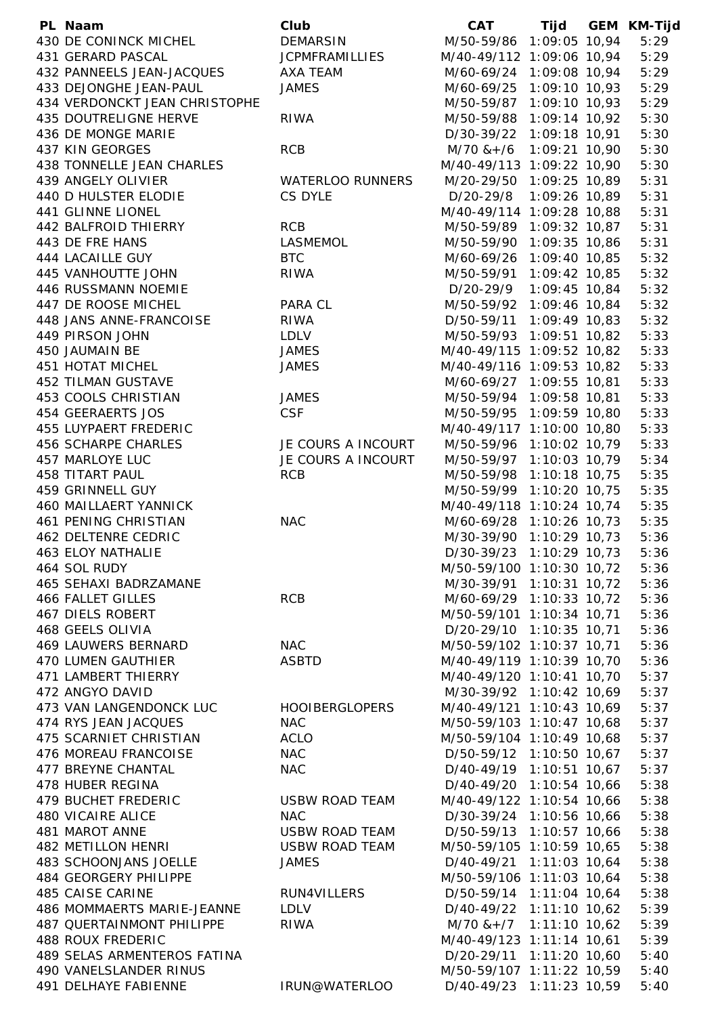| PL Naam                       | Club                  | <b>CAT</b>                    |  | Tijd GEM KM-Tijd |
|-------------------------------|-----------------------|-------------------------------|--|------------------|
| 430 DE CONINCK MICHEL         | <b>DEMARSIN</b>       | M/50-59/86 1:09:05 10,94      |  | 5:29             |
| 431 GERARD PASCAL             | <b>JCPMFRAMILLIES</b> | M/40-49/112 1:09:06 10,94     |  | 5:29             |
| 432 PANNEELS JEAN-JACQUES     | AXA TEAM              | M/60-69/24 1:09:08 10,94      |  | 5:29             |
| 433 DEJONGHE JEAN-PAUL        | <b>JAMES</b>          | M/60-69/25 1:09:10 10,93      |  | 5:29             |
| 434 VERDONCKT JEAN CHRISTOPHE |                       | M/50-59/87 1:09:10 10,93      |  | 5:29             |
| 435 DOUTRELIGNE HERVE         | <b>RIWA</b>           | M/50-59/88 1:09:14 10,92      |  | 5:30             |
| 436 DE MONGE MARIE            |                       | D/30-39/22 1:09:18 10,91      |  | 5:30             |
| 437 KIN GEORGES               | <b>RCB</b>            | $M/70$ & + /6 1:09:21 10,90   |  | 5:30             |
| 438 TONNELLE JEAN CHARLES     |                       | M/40-49/113 1:09:22 10,90     |  | 5:30             |
| 439 ANGELY OLIVIER            | WATERLOO RUNNERS      |                               |  | 5:31             |
|                               | CS DYLE               | M/20-29/50 1:09:25 10,89      |  |                  |
| 440 D HULSTER ELODIE          |                       | D/20-29/8 1:09:26 10,89       |  | 5:31             |
| 441 GLINNE LIONEL             |                       | M/40-49/114 1:09:28 10,88     |  | 5:31             |
| 442 BALFROID THIERRY          | <b>RCB</b>            | M/50-59/89 1:09:32 10,87      |  | 5:31             |
| 443 DE FRE HANS               | LASMEMOL              | M/50-59/90 1:09:35 10,86      |  | 5:31             |
| 444 LACAILLE GUY              | <b>BTC</b>            | M/60-69/26 1:09:40 10,85      |  | 5:32             |
| 445 VANHOUTTE JOHN            | <b>RIWA</b>           | M/50-59/91 1:09:42 10,85      |  | 5:32             |
| 446 RUSSMANN NOEMIE           |                       | D/20-29/9 1:09:45 10,84       |  | 5:32             |
| 447 DE ROOSE MICHEL           | PARA CL               | M/50-59/92 1:09:46 10,84      |  | 5:32             |
| 448 JANS ANNE-FRANCOISE       | <b>RIWA</b>           | D/50-59/11 1:09:49 10,83      |  | 5:32             |
| 449 PIRSON JOHN               | <b>LDLV</b>           | M/50-59/93 1:09:51 10,82      |  | 5:33             |
| 450 JAUMAIN BE                | <b>JAMES</b>          | M/40-49/115 1:09:52 10,82     |  | 5:33             |
| <b>451 HOTAT MICHEL</b>       | <b>JAMES</b>          | M/40-49/116 1:09:53 10,82     |  | 5:33             |
| 452 TILMAN GUSTAVE            |                       | M/60-69/27 1:09:55 10,81      |  | 5:33             |
| 453 COOLS CHRISTIAN           | <b>JAMES</b>          | M/50-59/94 1:09:58 10,81      |  | 5:33             |
| 454 GEERAERTS JOS             | <b>CSF</b>            | M/50-59/95 1:09:59 10,80      |  | 5:33             |
| 455 LUYPAERT FREDERIC         |                       | M/40-49/117 1:10:00 10,80     |  | 5:33             |
| 456 SCHARPE CHARLES           | JE COURS A INCOURT    | M/50-59/96 1:10:02 10,79      |  | 5:33             |
| 457 MARLOYE LUC               | JE COURS A INCOURT    | M/50-59/97 1:10:03 10,79      |  | 5:34             |
| <b>458 TITART PAUL</b>        | <b>RCB</b>            | M/50-59/98 1:10:18 10,75      |  | 5:35             |
| 459 GRINNELL GUY              |                       | M/50-59/99 1:10:20 10,75      |  | 5:35             |
| 460 MAILLAERT YANNICK         |                       | M/40-49/118 1:10:24 10,74     |  | 5:35             |
| <b>461 PENING CHRISTIAN</b>   | <b>NAC</b>            | M/60-69/28 1:10:26 10,73      |  | 5:35             |
| <b>462 DELTENRE CEDRIC</b>    |                       | M/30-39/90 1:10:29 10,73      |  | 5:36             |
| <b>463 ELOY NATHALIE</b>      |                       | D/30-39/23 1:10:29 10,73      |  | 5:36             |
|                               |                       |                               |  |                  |
| 464 SOL RUDY                  |                       | M/50-59/100 1:10:30 10,72     |  | 5:36             |
| <b>465 SEHAXI BADRZAMANE</b>  |                       | M/30-39/91 1:10:31 10,72      |  | 5:36             |
| <b>466 FALLET GILLES</b>      | <b>RCB</b>            | M/60-69/29 1:10:33 10,72      |  | 5:36             |
| <b>467 DIELS ROBERT</b>       |                       | M/50-59/101 1:10:34 10,71     |  | 5:36             |
| 468 GEELS OLIVIA              |                       | D/20-29/10 1:10:35 10,71      |  | 5:36             |
| 469 LAUWERS BERNARD           | <b>NAC</b>            | M/50-59/102 1:10:37 10,71     |  | 5:36             |
| <b>470 LUMEN GAUTHIER</b>     | <b>ASBTD</b>          | M/40-49/119 1:10:39 10,70     |  | 5:36             |
| 471 LAMBERT THIERRY           |                       | M/40-49/120 1:10:41 10,70     |  | 5:37             |
| 472 ANGYO DAVID               |                       | M/30-39/92 1:10:42 10,69      |  | 5:37             |
| 473 VAN LANGENDONCK LUC       | <b>HOOIBERGLOPERS</b> | M/40-49/121 1:10:43 10,69     |  | 5:37             |
| 474 RYS JEAN JACQUES          | <b>NAC</b>            | M/50-59/103 1:10:47 10,68     |  | 5:37             |
| 475 SCARNIET CHRISTIAN        | ACLO                  | M/50-59/104 1:10:49 10,68     |  | 5:37             |
| 476 MOREAU FRANCOISE          | <b>NAC</b>            | D/50-59/12 1:10:50 10,67      |  | 5:37             |
| 477 BREYNE CHANTAL            | <b>NAC</b>            | D/40-49/19 1:10:51 10,67      |  | 5:37             |
| 478 HUBER REGINA              |                       | D/40-49/20 1:10:54 10,66      |  | 5:38             |
| 479 BUCHET FREDERIC           | <b>USBW ROAD TEAM</b> | M/40-49/122 1:10:54 10,66     |  | 5:38             |
| <b>480 VICAIRE ALICE</b>      | <b>NAC</b>            | D/30-39/24 1:10:56 10,66      |  | 5:38             |
| 481 MAROT ANNE                | USBW ROAD TEAM        | D/50-59/13 1:10:57 10,66      |  | 5:38             |
| 482 METILLON HENRI            | USBW ROAD TEAM        | M/50-59/105 1:10:59 10,65     |  | 5:38             |
| 483 SCHOONJANS JOELLE         | <b>JAMES</b>          | D/40-49/21 1:11:03 10,64      |  | 5:38             |
| 484 GEORGERY PHILIPPE         |                       | M/50-59/106 1:11:03 10,64     |  | 5:38             |
| 485 CAISE CARINE              | RUN4VILLERS           | D/50-59/14 1:11:04 10,64      |  | 5:38             |
| 486 MOMMAERTS MARIE-JEANNE    | LDLV                  | D/40-49/22 1:11:10 10,62      |  | 5:39             |
| 487 QUERTAINMONT PHILIPPE     | <b>RIWA</b>           | $M/70$ & + $/7$ 1:11:10 10,62 |  | 5:39             |
| <b>488 ROUX FREDERIC</b>      |                       | M/40-49/123 1:11:14 10,61     |  | 5:39             |
| 489 SELAS ARMENTEROS FATINA   |                       | D/20-29/11 1:11:20 10,60      |  | 5:40             |
| 490 VANELSLANDER RINUS        |                       | M/50-59/107 1:11:22 10,59     |  | 5:40             |
|                               |                       |                               |  |                  |
| 491 DELHAYE FABIENNE          | IRUN@WATERLOO         | D/40-49/23 1:11:23 10,59      |  | 5:40             |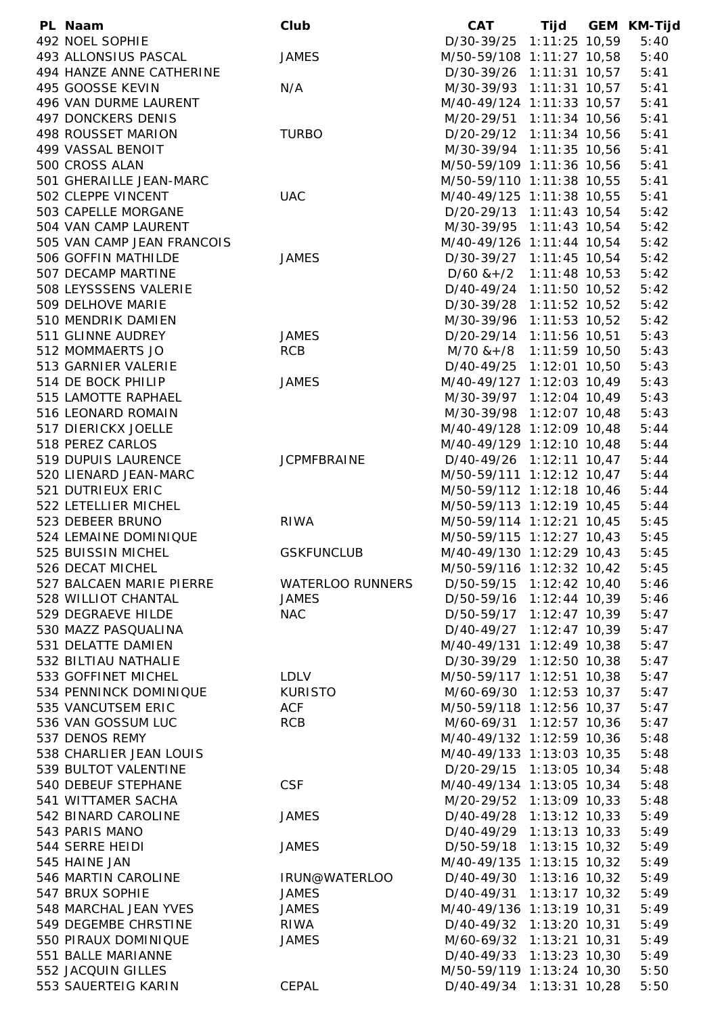| PL Naam                    | Club                    | <b>CAT</b>                    |  | Tijd GEM KM-Tijd |
|----------------------------|-------------------------|-------------------------------|--|------------------|
| 492 NOEL SOPHIE            |                         | D/30-39/25 1:11:25 10,59      |  | 5:40             |
| 493 ALLONSIUS PASCAL       | <b>JAMES</b>            | M/50-59/108 1:11:27 10,58     |  | 5:40             |
| 494 HANZE ANNE CATHERINE   |                         | D/30-39/26 1:11:31 10,57      |  | 5:41             |
| 495 GOOSSE KEVIN           | N/A                     | M/30-39/93 1:11:31 10,57      |  | 5:41             |
| 496 VAN DURME LAURENT      |                         | M/40-49/124 1:11:33 10,57     |  | 5:41             |
| 497 DONCKERS DENIS         |                         | M/20-29/51 1:11:34 10,56      |  | 5:41             |
| 498 ROUSSET MARION         | <b>TURBO</b>            | D/20-29/12 1:11:34 10,56      |  | 5:41             |
| 499 VASSAL BENOIT          |                         | M/30-39/94 1:11:35 10,56      |  | 5:41             |
| 500 CROSS ALAN             |                         | M/50-59/109 1:11:36 10,56     |  | 5:41             |
| 501 GHERAILLE JEAN-MARC    |                         | M/50-59/110 1:11:38 10,55     |  | 5:41             |
| 502 CLEPPE VINCENT         | <b>UAC</b>              | M/40-49/125 1:11:38 10,55     |  | 5:41             |
| 503 CAPELLE MORGANE        |                         | D/20-29/13 1:11:43 10,54      |  | 5:42             |
| 504 VAN CAMP LAURENT       |                         | M/30-39/95 1:11:43 10,54      |  | 5:42             |
| 505 VAN CAMP JEAN FRANCOIS |                         | M/40-49/126 1:11:44 10,54     |  | 5:42             |
| 506 GOFFIN MATHILDE        | <b>JAMES</b>            | D/30-39/27 1:11:45 10,54      |  | 5:42             |
| 507 DECAMP MARTINE         |                         | $D/60$ & + $/2$ 1:11:48 10,53 |  | 5:42             |
| 508 LEYSSSENS VALERIE      |                         | D/40-49/24 1:11:50 10,52      |  |                  |
|                            |                         |                               |  | 5:42             |
| 509 DELHOVE MARIE          |                         | D/30-39/28 1:11:52 10,52      |  | 5:42             |
| 510 MENDRIK DAMIEN         |                         | M/30-39/96 1:11:53 10,52      |  | 5:42             |
| 511 GLINNE AUDREY          | <b>JAMES</b>            | D/20-29/14 1:11:56 10,51      |  | 5:43             |
| 512 MOMMAERTS JO           | <b>RCB</b>              | $M/70$ & + /8 1:11:59 10,50   |  | 5:43             |
| 513 GARNIER VALERIE        |                         | D/40-49/25 1:12:01 10,50      |  | 5:43             |
| 514 DE BOCK PHILIP         | <b>JAMES</b>            | M/40-49/127 1:12:03 10,49     |  | 5:43             |
| 515 LAMOTTE RAPHAEL        |                         | M/30-39/97 1:12:04 10,49      |  | 5:43             |
| 516 LEONARD ROMAIN         |                         | M/30-39/98 1:12:07 10,48      |  | 5:43             |
| 517 DIERICKX JOELLE        |                         | M/40-49/128 1:12:09 10,48     |  | 5:44             |
| 518 PEREZ CARLOS           |                         | M/40-49/129 1:12:10 10,48     |  | 5:44             |
| 519 DUPUIS LAURENCE        | <b>JCPMFBRAINE</b>      | D/40-49/26 1:12:11 10,47      |  | 5:44             |
| 520 LIENARD JEAN-MARC      |                         | M/50-59/111 1:12:12 10,47     |  | 5:44             |
| 521 DUTRIEUX ERIC          |                         | M/50-59/112 1:12:18 10,46     |  | 5:44             |
| 522 LETELLIER MICHEL       |                         | M/50-59/113 1:12:19 10,45     |  | 5:44             |
| 523 DEBEER BRUNO           | <b>RIWA</b>             | M/50-59/114 1:12:21 10,45     |  | 5:45             |
| 524 LEMAINE DOMINIQUE      |                         | M/50-59/115 1:12:27 10,43     |  | 5:45             |
| 525 BUISSIN MICHEL         | <b>GSKFUNCLUB</b>       | M/40-49/130 1:12:29 10,43     |  | 5:45             |
| 526 DECAT MICHEL           |                         | M/50-59/116 1:12:32 10,42     |  | 5:45             |
| 527 BALCAEN MARIE PIERRE   | <b>WATERLOO RUNNERS</b> | D/50-59/15 1:12:42 10,40      |  | 5:46             |
| 528 WILLIOT CHANTAL        | <b>JAMES</b>            | D/50-59/16 1:12:44 10,39      |  | 5:46             |
| 529 DEGRAEVE HILDE         | <b>NAC</b>              | D/50-59/17 1:12:47 10,39      |  | 5:47             |
| 530 MAZZ PASQUALINA        |                         | D/40-49/27 1:12:47 10,39      |  | 5:47             |
| 531 DELATTE DAMIEN         |                         | M/40-49/131 1:12:49 10,38     |  | 5:47             |
| 532 BILTIAU NATHALIE       |                         | D/30-39/29 1:12:50 10,38      |  | 5:47             |
| 533 GOFFINET MICHEL        | <b>LDLV</b>             | M/50-59/117 1:12:51 10,38     |  | 5:47             |
| 534 PENNINCK DOMINIQUE     | <b>KURISTO</b>          | M/60-69/30 1:12:53 10,37      |  | 5:47             |
| 535 VANCUTSEM ERIC         | <b>ACF</b>              | M/50-59/118 1:12:56 10,37     |  | 5:47             |
| 536 VAN GOSSUM LUC         | <b>RCB</b>              | M/60-69/31 1:12:57 10,36      |  | 5:47             |
| 537 DENOS REMY             |                         | M/40-49/132 1:12:59 10,36     |  | 5:48             |
| 538 CHARLIER JEAN LOUIS    |                         | M/40-49/133 1:13:03 10,35     |  | 5:48             |
| 539 BULTOT VALENTINE       |                         | D/20-29/15 1:13:05 10,34      |  | 5:48             |
| 540 DEBEUF STEPHANE        | <b>CSF</b>              | M/40-49/134 1:13:05 10,34     |  | 5:48             |
| 541 WITTAMER SACHA         |                         | M/20-29/52 1:13:09 10,33      |  | 5:48             |
| 542 BINARD CAROLINE        | <b>JAMES</b>            | D/40-49/28 1:13:12 10,33      |  | 5:49             |
| 543 PARIS MANO             |                         | D/40-49/29 1:13:13 10,33      |  | 5:49             |
| 544 SERRE HEIDI            | <b>JAMES</b>            | D/50-59/18 1:13:15 10,32      |  | 5:49             |
| 545 HAINE JAN              |                         | M/40-49/135 1:13:15 10,32     |  | 5:49             |
| 546 MARTIN CAROLINE        | IRUN@WATERLOO           | D/40-49/30 1:13:16 10,32      |  | 5:49             |
| 547 BRUX SOPHIE            | <b>JAMES</b>            | D/40-49/31 1:13:17 10,32      |  | 5:49             |
| 548 MARCHAL JEAN YVES      | <b>JAMES</b>            | M/40-49/136 1:13:19 10,31     |  | 5:49             |
| 549 DEGEMBE CHRSTINE       | <b>RIWA</b>             | D/40-49/32 1:13:20 10,31      |  | 5:49             |
| 550 PIRAUX DOMINIQUE       | <b>JAMES</b>            | M/60-69/32 1:13:21 10,31      |  | 5:49             |
| 551 BALLE MARIANNE         |                         | D/40-49/33 1:13:23 10,30      |  | 5:49             |
| 552 JACQUIN GILLES         |                         | M/50-59/119 1:13:24 10,30     |  | 5:50             |
| 553 SAUERTEIG KARIN        | CEPAL                   | D/40-49/34 1:13:31 10,28      |  | 5:50             |
|                            |                         |                               |  |                  |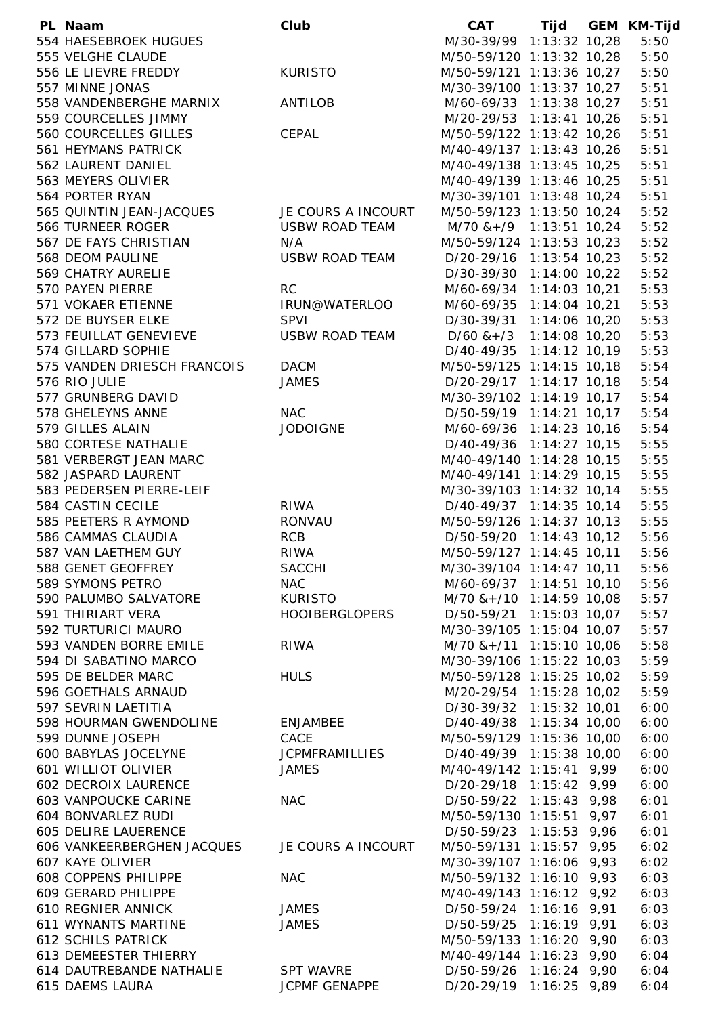| PL Naam                      | Club                  | CAT                           |  | Tijd GEM KM-Tijd |
|------------------------------|-----------------------|-------------------------------|--|------------------|
| 554 HAESEBROEK HUGUES        |                       | M/30-39/99 1:13:32 10,28      |  | 5:50             |
| 555 VELGHE CLAUDE            |                       | M/50-59/120 1:13:32 10,28     |  | 5:50             |
| 556 LE LIEVRE FREDDY         | <b>KURISTO</b>        | M/50-59/121 1:13:36 10,27     |  | 5:50             |
| 557 MINNE JONAS              |                       | M/30-39/100 1:13:37 10,27     |  | 5:51             |
| 558 VANDENBERGHE MARNIX      | <b>ANTILOB</b>        | M/60-69/33 1:13:38 10,27      |  | 5:51             |
| 559 COURCELLES JIMMY         |                       | M/20-29/53 1:13:41 10,26      |  | 5:51             |
| 560 COURCELLES GILLES        | CEPAL                 | M/50-59/122 1:13:42 10,26     |  | 5:51             |
| 561 HEYMANS PATRICK          |                       | M/40-49/137 1:13:43 10,26     |  | 5:51             |
| 562 LAURENT DANIEL           |                       | M/40-49/138 1:13:45 10,25     |  | 5:51             |
| 563 MEYERS OLIVIER           |                       | M/40-49/139 1:13:46 10,25     |  | 5:51             |
| 564 PORTER RYAN              |                       | M/30-39/101 1:13:48 10,24     |  | 5:51             |
| 565 QUINTIN JEAN-JACQUES     | JE COURS A INCOURT    | M/50-59/123 1:13:50 10,24     |  | 5:52             |
| 566 TURNEER ROGER            | USBW ROAD TEAM        | $M/70$ & + /9 1:13:51 10,24   |  | 5:52             |
| 567 DE FAYS CHRISTIAN        | N/A                   | M/50-59/124 1:13:53 10,23     |  | 5:52             |
| 568 DEOM PAULINE             | USBW ROAD TEAM        | D/20-29/16 1:13:54 10,23      |  | 5:52             |
| 569 CHATRY AURELIE           |                       | D/30-39/30 1:14:00 10,22      |  | 5:52             |
| 570 PAYEN PIERRE             | <b>RC</b>             | M/60-69/34 1:14:03 10,21      |  | 5:53             |
| 571 VOKAER ETIENNE           | IRUN@WATERLOO         | M/60-69/35 1:14:04 10,21      |  | 5:53             |
| 572 DE BUYSER ELKE           | <b>SPVI</b>           | D/30-39/31 1:14:06 10,20      |  | 5:53             |
| 573 FEUILLAT GENEVIEVE       | USBW ROAD TEAM        | $D/60$ & + $/3$ 1:14:08 10,20 |  | 5:53             |
| 574 GILLARD SOPHIE           |                       | D/40-49/35 1:14:12 10,19      |  | 5:53             |
| 575 VANDEN DRIESCH FRANCOIS  | <b>DACM</b>           | M/50-59/125 1:14:15 10,18     |  | 5:54             |
| 576 RIO JULIE                | <b>JAMES</b>          | D/20-29/17 1:14:17 10,18      |  | 5:54             |
| 577 GRUNBERG DAVID           |                       | M/30-39/102 1:14:19 10,17     |  | 5:54             |
|                              |                       |                               |  |                  |
| 578 GHELEYNS ANNE            | <b>NAC</b>            | D/50-59/19 1:14:21 10,17      |  | 5:54             |
| 579 GILLES ALAIN             | <b>JODOIGNE</b>       | M/60-69/36 1:14:23 10,16      |  | 5:54             |
| 580 CORTESE NATHALIE         |                       | D/40-49/36 1:14:27 10,15      |  | 5:55             |
| 581 VERBERGT JEAN MARC       |                       | M/40-49/140 1:14:28 10,15     |  | 5:55             |
| 582 JASPARD LAURENT          |                       | M/40-49/141 1:14:29 10,15     |  | 5:55             |
| 583 PEDERSEN PIERRE-LEIF     |                       | M/30-39/103 1:14:32 10,14     |  | 5:55             |
| 584 CASTIN CECILE            | <b>RIWA</b>           | D/40-49/37 1:14:35 10,14      |  | 5:55             |
| 585 PEETERS R AYMOND         | <b>RONVAU</b>         | M/50-59/126 1:14:37 10,13     |  | 5:55             |
| 586 CAMMAS CLAUDIA           | <b>RCB</b>            | D/50-59/20 1:14:43 10,12      |  | 5:56             |
| 587 VAN LAETHEM GUY          | <b>RIWA</b>           | M/50-59/127 1:14:45 10,11     |  | 5:56             |
| 588 GENET GEOFFREY           | <b>SACCHI</b>         | M/30-39/104 1:14:47 10,11     |  | 5:56             |
| 589 SYMONS PETRO             | <b>NAC</b>            | M/60-69/37 1:14:51 10,10      |  | 5:56             |
| 590 PALUMBO SALVATORE        | <b>KURISTO</b>        | M/70 & +/10 1:14:59 10,08     |  | 5:57             |
| 591 THIRIART VERA            | <b>HOOIBERGLOPERS</b> | D/50-59/21 1:15:03 10,07      |  | 5:57             |
| 592 TURTURICI MAURO          |                       | M/30-39/105 1:15:04 10,07     |  | 5:57             |
| 593 VANDEN BORRE EMILE       | <b>RIWA</b>           | M/70 & +/11 1:15:10 10,06     |  | 5:58             |
| 594 DI SABATINO MARCO        |                       | M/30-39/106 1:15:22 10,03     |  | 5:59             |
| 595 DE BELDER MARC           | <b>HULS</b>           | M/50-59/128 1:15:25 10,02     |  | 5:59             |
| 596 GOETHALS ARNAUD          |                       | M/20-29/54 1:15:28 10,02      |  | 5:59             |
| 597 SEVRIN LAETITIA          |                       | D/30-39/32 1:15:32 10,01      |  | 6:00             |
| 598 HOURMAN GWENDOLINE       | <b>ENJAMBEE</b>       | D/40-49/38 1:15:34 10,00      |  | 6:00             |
| 599 DUNNE JOSEPH             | CACE                  | M/50-59/129 1:15:36 10,00     |  | 6:00             |
| <b>600 BABYLAS JOCELYNE</b>  | <b>JCPMFRAMILLIES</b> | D/40-49/39 1:15:38 10,00      |  | 6:00             |
| <b>601 WILLIOT OLIVIER</b>   | <b>JAMES</b>          | M/40-49/142 1:15:41 9,99      |  | 6:00             |
| <b>602 DECROIX LAURENCE</b>  |                       | D/20-29/18 1:15:42 9,99       |  | 6:00             |
| <b>603 VANPOUCKE CARINE</b>  | <b>NAC</b>            | D/50-59/22 1:15:43 9,98       |  | 6:01             |
| 604 BONVARLEZ RUDI           |                       | M/50-59/130 1:15:51 9,97      |  | 6:01             |
| 605 DELIRE LAUERENCE         |                       | D/50-59/23 1:15:53 9,96       |  | 6:01             |
| 606 VANKEERBERGHEN JACQUES   | JE COURS A INCOURT    | M/50-59/131 1:15:57 9,95      |  | 6:02             |
| 607 KAYE OLIVIER             |                       | M/30-39/107 1:16:06 9,93      |  | 6:02             |
| 608 COPPENS PHILIPPE         | <b>NAC</b>            | M/50-59/132 1:16:10 9,93      |  | 6:03             |
| 609 GERARD PHILIPPE          |                       | M/40-49/143 1:16:12 9,92      |  | 6:03             |
| <b>610 REGNIER ANNICK</b>    | <b>JAMES</b>          | D/50-59/24 1:16:16 9,91       |  | 6:03             |
| 611 WYNANTS MARTINE          | <b>JAMES</b>          | D/50-59/25 1:16:19 9,91       |  | 6:03             |
| <b>612 SCHILS PATRICK</b>    |                       | M/50-59/133 1:16:20 9,90      |  | 6:03             |
| <b>613 DEMEESTER THIERRY</b> |                       | M/40-49/144 1:16:23 9,90      |  | 6:04             |
| 614 DAUTREBANDE NATHALIE     | <b>SPT WAVRE</b>      | D/50-59/26 1:16:24 9,90       |  | 6:04             |
| 615 DAEMS LAURA              | <b>JCPMF GENAPPE</b>  | D/20-29/19 1:16:25 9,89       |  | 6:04             |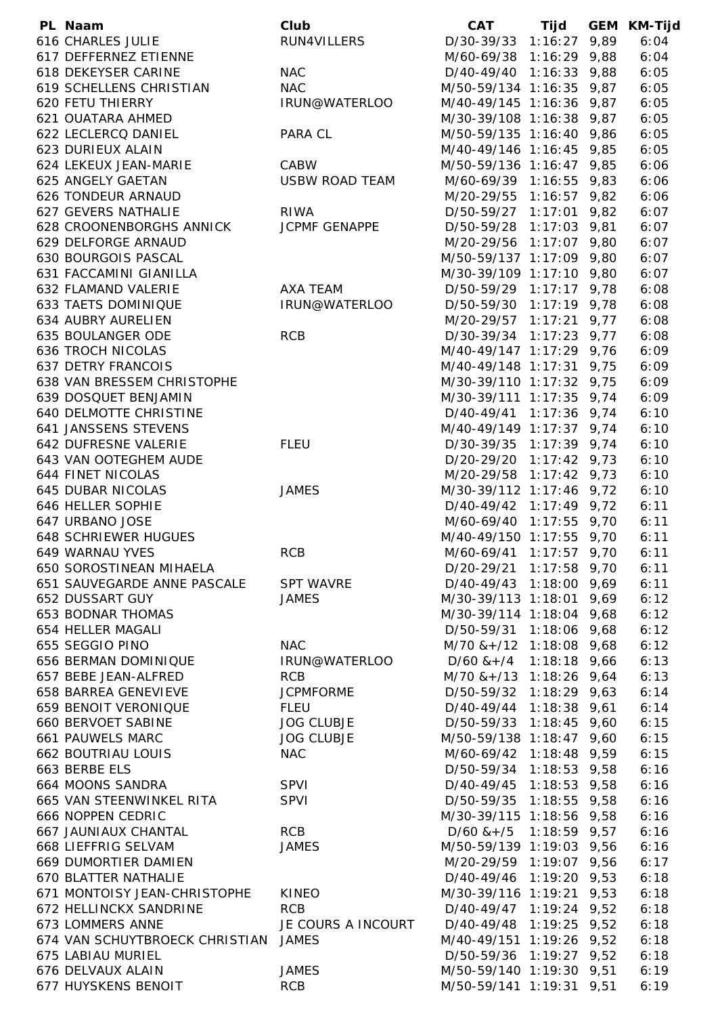| PL Naam                              | Club                  | <b>CAT</b>                                          |  | Tijd GEM KM-Tijd |
|--------------------------------------|-----------------------|-----------------------------------------------------|--|------------------|
| <b>616 CHARLES JULIE</b>             | RUN4VILLERS           | D/30-39/33 1:16:27 9,89                             |  | 6:04             |
| 617 DEFFERNEZ ETIENNE                |                       | M/60-69/38 1:16:29 9,88                             |  | 6:04             |
| 618 DEKEYSER CARINE                  | <b>NAC</b>            | D/40-49/40 1:16:33 9,88                             |  | 6:05             |
| 619 SCHELLENS CHRISTIAN              | <b>NAC</b>            | M/50-59/134 1:16:35 9,87                            |  | 6:05             |
| <b>620 FETU THIERRY</b>              | IRUN@WATERLOO         | M/40-49/145 1:16:36 9,87                            |  | 6:05             |
| <b>621 OUATARA AHMED</b>             |                       | M/30-39/108 1:16:38 9,87                            |  | 6:05             |
| 622 LECLERCQ DANIEL                  | PARA CL               | M/50-59/135 1:16:40 9,86                            |  | 6:05             |
| 623 DURIEUX ALAIN                    |                       | M/40-49/146 1:16:45 9,85                            |  | 6:05             |
| 624 LEKEUX JEAN-MARIE                | CABW                  | M/50-59/136 1:16:47 9,85                            |  | 6:06             |
| 625 ANGELY GAETAN                    | <b>USBW ROAD TEAM</b> | M/60-69/39 1:16:55 9,83                             |  | 6:06             |
| 626 TONDEUR ARNAUD                   |                       | M/20-29/55 1:16:57 9,82                             |  | 6:06             |
| 627 GEVERS NATHALIE                  | <b>RIWA</b>           | D/50-59/27 1:17:01 9,82                             |  | 6:07             |
| 628 CROONENBORGHS ANNICK             | JCPMF GENAPPE         | D/50-59/28 1:17:03 9,81                             |  | 6:07             |
| 629 DELFORGE ARNAUD                  |                       | M/20-29/56 1:17:07 9,80                             |  | 6:07             |
| 630 BOURGOIS PASCAL                  |                       | M/50-59/137 1:17:09 9,80                            |  | 6:07             |
| 631 FACCAMINI GIANILLA               |                       | M/30-39/109 1:17:10 9,80                            |  | 6:07             |
| 632 FLAMAND VALERIE                  | AXA TEAM              | D/50-59/29 1:17:17 9,78                             |  | 6:08             |
| 633 TAETS DOMINIQUE                  | IRUN@WATERLOO         | D/50-59/30 1:17:19 9,78                             |  | 6:08             |
| 634 AUBRY AURELIEN                   |                       | M/20-29/57 1:17:21 9,77                             |  | 6:08             |
| 635 BOULANGER ODE                    | <b>RCB</b>            | D/30-39/34 1:17:23 9,77                             |  | 6:08             |
| <b>636 TROCH NICOLAS</b>             |                       | M/40-49/147 1:17:29 9,76                            |  | 6:09             |
| <b>637 DETRY FRANCOIS</b>            |                       | M/40-49/148 1:17:31 9,75                            |  | 6:09             |
| 638 VAN BRESSEM CHRISTOPHE           |                       | M/30-39/110 1:17:32 9,75                            |  | 6:09             |
| 639 DOSQUET BENJAMIN                 |                       | M/30-39/111 1:17:35 9,74                            |  | 6:09             |
| <b>640 DELMOTTE CHRISTINE</b>        |                       | D/40-49/41 1:17:36 9,74                             |  | 6:10             |
| 641 JANSSENS STEVENS                 |                       | M/40-49/149 1:17:37 9,74                            |  | 6:10             |
| 642 DUFRESNE VALERIE                 | <b>FLEU</b>           | D/30-39/35 1:17:39 9,74                             |  | 6:10             |
| 643 VAN OOTEGHEM AUDE                |                       | D/20-29/20 1:17:42 9,73                             |  | 6:10             |
| <b>644 FINET NICOLAS</b>             |                       | M/20-29/58 1:17:42 9,73                             |  | 6:10             |
| <b>645 DUBAR NICOLAS</b>             | <b>JAMES</b>          | M/30-39/112 1:17:46 9,72                            |  | 6:10             |
| 646 HELLER SOPHIE                    |                       | D/40-49/42 1:17:49 9,72                             |  | 6:11             |
| 647 URBANO JOSE                      |                       | M/60-69/40 1:17:55 9,70                             |  | 6:11             |
| <b>648 SCHRIEWER HUGUES</b>          |                       | M/40-49/150 1:17:55 9,70                            |  | 6:11             |
| 649 WARNAU YVES                      | <b>RCB</b>            | M/60-69/41 1:17:57 9,70                             |  | 6:11             |
| <b>650 SOROSTINEAN MIHAELA</b>       |                       | D/20-29/21 1:17:58 9,70                             |  | 6:11             |
| 651 SAUVEGARDE ANNE PASCALE          | <b>SPT WAVRE</b>      | D/40-49/43 1:18:00 9,69                             |  | 6:11             |
| 652 DUSSART GUY                      | <b>JAMES</b>          | M/30-39/113 1:18:01 9,69                            |  | 6:12             |
| <b>653 BODNAR THOMAS</b>             |                       | M/30-39/114 1:18:04 9,68                            |  | 6:12             |
| 654 HELLER MAGALI                    |                       | D/50-59/31 1:18:06 9,68                             |  | 6:12             |
| 655 SEGGIO PINO                      | <b>NAC</b>            | $M/70$ & + $/12$ 1:18:08 9,68                       |  | 6:12             |
| 656 BERMAN DOMINIQUE                 | IRUN@WATERLOO         | $D/60$ & + $/4$ 1:18:18 9,66                        |  | 6:13             |
| 657 BEBE JEAN-ALFRED                 | <b>RCB</b>            | $M/70$ & + $/13$ 1:18:26 9,64                       |  | 6:13             |
| 658 BARREA GENEVIEVE                 | <b>JCPMFORME</b>      | D/50-59/32 1:18:29 9,63                             |  | 6:14             |
| <b>659 BENOIT VERONIQUE</b>          | <b>FLEU</b>           | D/40-49/44 1:18:38 9,61                             |  | 6:14             |
| 660 BERVOET SABINE                   | <b>JOG CLUBJE</b>     | D/50-59/33 1:18:45 9,60                             |  | 6:15             |
| 661 PAUWELS MARC                     | <b>JOG CLUBJE</b>     | M/50-59/138 1:18:47 9,60                            |  | 6:15             |
| <b>662 BOUTRIAU LOUIS</b>            | <b>NAC</b>            | M/60-69/42 1:18:48 9,59                             |  | 6:15             |
| 663 BERBE ELS                        |                       | D/50-59/34 1:18:53 9,58                             |  | 6:16             |
| 664 MOONS SANDRA                     | <b>SPVI</b>           | D/40-49/45 1:18:53 9,58                             |  | 6:16             |
| 665 VAN STEENWINKEL RITA             | <b>SPVI</b>           | D/50-59/35 1:18:55 9,58                             |  | 6:16             |
| 666 NOPPEN CEDRIC                    |                       | M/30-39/115 1:18:56 9,58                            |  | 6:16             |
| 667 JAUNIAUX CHANTAL                 | <b>RCB</b>            | $D/60$ & + /5 1:18:59 9,57                          |  | 6:16             |
| 668 LIEFFRIG SELVAM                  | <b>JAMES</b>          | M/50-59/139 1:19:03 9,56                            |  | 6:16             |
| 669 DUMORTIER DAMIEN                 |                       | M/20-29/59 1:19:07 9,56                             |  | 6:17             |
| 670 BLATTER NATHALIE                 |                       | D/40-49/46 1:19:20 9,53                             |  | 6:18             |
| 671 MONTOISY JEAN-CHRISTOPHE         | <b>KINEO</b>          | M/30-39/116 1:19:21 9,53                            |  |                  |
| 672 HELLINCKX SANDRINE               | <b>RCB</b>            | D/40-49/47 1:19:24 9,52                             |  | 6:18<br>6:18     |
| 673 LOMMERS ANNE                     | JE COURS A INCOURT    |                                                     |  | 6:18             |
| 674 VAN SCHUYTBROECK CHRISTIAN JAMES |                       | D/40-49/48 1:19:25 9,52<br>M/40-49/151 1:19:26 9,52 |  | 6:18             |
| 675 LABIAU MURIEL                    |                       | D/50-59/36 1:19:27 9,52                             |  |                  |
| 676 DELVAUX ALAIN                    |                       |                                                     |  | 6:18             |
|                                      | <b>JAMES</b>          | M/50-59/140 1:19:30 9,51                            |  | 6:19             |
| 677 HUYSKENS BENOIT                  | <b>RCB</b>            | M/50-59/141 1:19:31 9,51                            |  | 6:19             |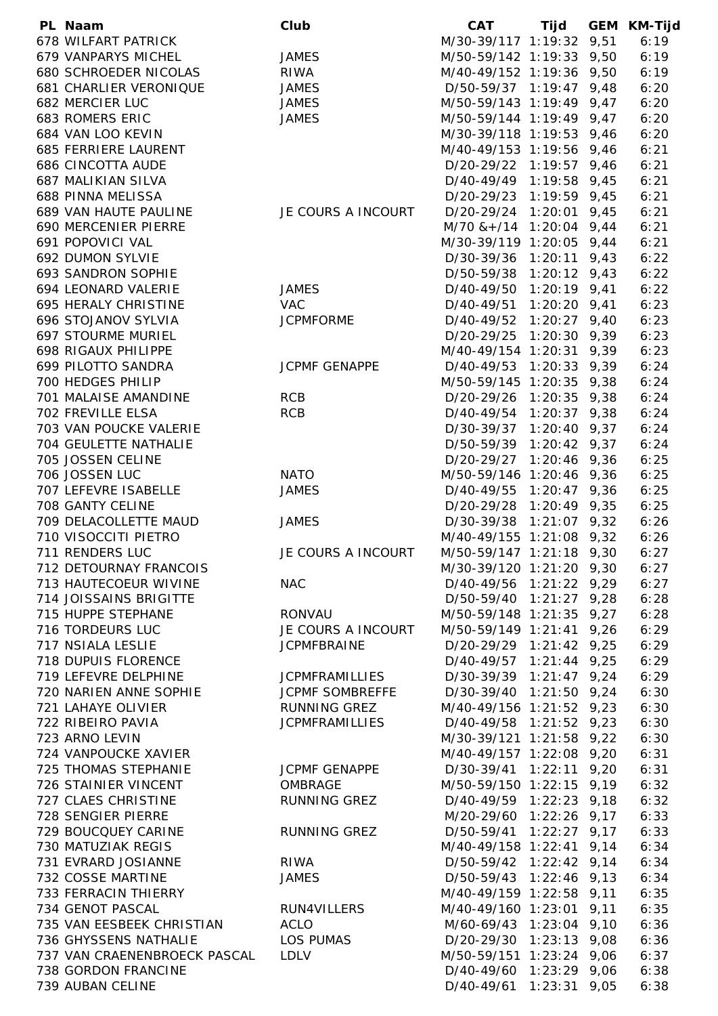| PL Naam                      | Club                   | <b>CAT</b>                    | Tijd | GEM KM-Tijd |
|------------------------------|------------------------|-------------------------------|------|-------------|
| <b>678 WILFART PATRICK</b>   |                        | M/30-39/117 1:19:32 9,51      |      | 6:19        |
| 679 VANPARYS MICHEL          | <b>JAMES</b>           | M/50-59/142 1:19:33 9,50      |      | 6:19        |
| 680 SCHROEDER NICOLAS        | <b>RIWA</b>            | M/40-49/152 1:19:36 9,50      |      | 6:19        |
| 681 CHARLIER VERONIQUE       | <b>JAMES</b>           | D/50-59/37 1:19:47 9,48       |      | 6:20        |
| 682 MERCIER LUC              | <b>JAMES</b>           | M/50-59/143 1:19:49 9,47      |      | 6:20        |
| 683 ROMERS ERIC              | <b>JAMES</b>           | M/50-59/144 1:19:49 9,47      |      | 6:20        |
| 684 VAN LOO KEVIN            |                        | M/30-39/118 1:19:53 9,46      |      | 6:20        |
| 685 FERRIERE LAURENT         |                        | M/40-49/153 1:19:56 9,46      |      | 6:21        |
| <b>686 CINCOTTA AUDE</b>     |                        | D/20-29/22 1:19:57 9,46       |      | 6:21        |
| 687 MALIKIAN SILVA           |                        | D/40-49/49 1:19:58 9,45       |      | 6:21        |
| 688 PINNA MELISSA            |                        | D/20-29/23 1:19:59 9,45       |      | 6:21        |
| 689 VAN HAUTE PAULINE        | JE COURS A INCOURT     | D/20-29/24 1:20:01 9,45       |      | 6:21        |
| 690 MERCENIER PIERRE         |                        | $M/70$ & + $/14$ 1:20:04 9,44 |      | 6:21        |
| 691 POPOVICI VAL             |                        | M/30-39/119 1:20:05 9,44      |      | 6:21        |
| 692 DUMON SYLVIE             |                        | D/30-39/36 1:20:11 9,43       |      | 6:22        |
| 693 SANDRON SOPHIE           |                        | D/50-59/38 1:20:12 9,43       |      | 6:22        |
| 694 LEONARD VALERIE          | <b>JAMES</b>           | D/40-49/50 1:20:19 9,41       |      | 6:22        |
| <b>695 HERALY CHRISTINE</b>  | <b>VAC</b>             | D/40-49/51 1:20:20 9,41       |      | 6:23        |
| 696 STOJANOV SYLVIA          | <b>JCPMFORME</b>       | D/40-49/52 1:20:27 9,40       |      | 6:23        |
| <b>697 STOURME MURIEL</b>    |                        | D/20-29/25 1:20:30 9,39       |      | 6:23        |
| 698 RIGAUX PHILIPPE          |                        | M/40-49/154 1:20:31 9,39      |      | 6:23        |
| 699 PILOTTO SANDRA           | <b>JCPMF GENAPPE</b>   | D/40-49/53 1:20:33 9,39       |      | 6:24        |
|                              |                        | M/50-59/145 1:20:35 9,38      |      |             |
| 700 HEDGES PHILIP            |                        |                               |      | 6:24        |
| 701 MALAISE AMANDINE         | <b>RCB</b>             | D/20-29/26 1:20:35 9,38       |      | 6:24        |
| 702 FREVILLE ELSA            | <b>RCB</b>             | D/40-49/54 1:20:37 9,38       |      | 6:24        |
| 703 VAN POUCKE VALERIE       |                        | D/30-39/37 1:20:40 9,37       |      | 6:24        |
| 704 GEULETTE NATHALIE        |                        | D/50-59/39 1:20:42 9,37       |      | 6:24        |
| 705 JOSSEN CELINE            |                        | D/20-29/27 1:20:46 9,36       |      | 6:25        |
| 706 JOSSEN LUC               | <b>NATO</b>            | M/50-59/146 1:20:46 9,36      |      | 6:25        |
| 707 LEFEVRE ISABELLE         | <b>JAMES</b>           | D/40-49/55 1:20:47 9,36       |      | 6:25        |
| 708 GANTY CELINE             |                        | D/20-29/28 1:20:49 9,35       |      | 6:25        |
| 709 DELACOLLETTE MAUD        | <b>JAMES</b>           | D/30-39/38 1:21:07 9,32       |      | 6:26        |
| 710 VISOCCITI PIETRO         |                        | M/40-49/155 1:21:08 9,32      |      | 6:26        |
| 711 RENDERS LUC              | JE COURS A INCOURT     | M/50-59/147 1:21:18 9,30      |      | 6:27        |
| 712 DETOURNAY FRANCOIS       |                        | M/30-39/120 1:21:20 9,30      |      | 6:27        |
| 713 HAUTECOEUR WIVINE        | <b>NAC</b>             | D/40-49/56 1:21:22 9,29       |      | 6:27        |
| 714 JOISSAINS BRIGITTE       |                        | D/50-59/40 1:21:27 9,28       |      | 6:28        |
| 715 HUPPE STEPHANE           | <b>RONVAU</b>          | M/50-59/148 1:21:35 9,27      |      | 6:28        |
| 716 TORDEURS LUC             | JE COURS A INCOURT     | M/50-59/149 1:21:41 9,26      |      | 6:29        |
| 717 NSIALA LESLIE            | <b>JCPMFBRAINE</b>     | D/20-29/29 1:21:42 9,25       |      | 6:29        |
| 718 DUPUIS FLORENCE          |                        | $D/40-49/57$ 1:21:44 9,25     |      | 6:29        |
| 719 LEFEVRE DELPHINE         | <b>JCPMFRAMILLIES</b>  | D/30-39/39 1:21:47 9,24       |      | 6:29        |
| 720 NARIEN ANNE SOPHIE       | <b>JCPMF SOMBREFFE</b> | D/30-39/40 1:21:50 9,24       |      | 6:30        |
| 721 LAHAYE OLIVIER           | <b>RUNNING GREZ</b>    | M/40-49/156 1:21:52 9,23      |      | 6:30        |
| 722 RIBEIRO PAVIA            | <b>JCPMFRAMILLIES</b>  | D/40-49/58 1:21:52 9,23       |      | 6:30        |
| 723 ARNO LEVIN               |                        | M/30-39/121 1:21:58 9,22      |      | 6:30        |
| 724 VANPOUCKE XAVIER         |                        | M/40-49/157 1:22:08 9,20      |      | 6:31        |
| 725 THOMAS STEPHANIE         | <b>JCPMF GENAPPE</b>   | D/30-39/41 1:22:11 9,20       |      | 6:31        |
| 726 STAINIER VINCENT         | OMBRAGE                | M/50-59/150 1:22:15 9,19      |      | 6:32        |
| 727 CLAES CHRISTINE          | RUNNING GREZ           | $D/40-49/59$ 1:22:23 9,18     |      | 6:32        |
| 728 SENGIER PIERRE           |                        | M/20-29/60 1:22:26 9,17       |      | 6:33        |
| 729 BOUCQUEY CARINE          | <b>RUNNING GREZ</b>    | D/50-59/41 1:22:27 9,17       |      | 6:33        |
| 730 MATUZIAK REGIS           |                        | M/40-49/158 1:22:41 9,14      |      | 6:34        |
| 731 EVRARD JOSIANNE          | <b>RIWA</b>            | D/50-59/42 1:22:42 9,14       |      | 6:34        |
| 732 COSSE MARTINE            | <b>JAMES</b>           | D/50-59/43 1:22:46 9,13       |      | 6:34        |
| 733 FERRACIN THIERRY         |                        | M/40-49/159 1:22:58 9,11      |      | 6:35        |
| 734 GENOT PASCAL             | RUN4VILLERS            | M/40-49/160 1:23:01 9,11      |      | 6:35        |
| 735 VAN EESBEEK CHRISTIAN    | <b>ACLO</b>            | M/60-69/43 1:23:04 9,10       |      | 6:36        |
| 736 GHYSSENS NATHALIE        | LOS PUMAS              | D/20-29/30 1:23:13 9,08       |      | 6:36        |
| 737 VAN CRAENENBROECK PASCAL | <b>LDLV</b>            | M/50-59/151 1:23:24 9,06      |      | 6:37        |
| 738 GORDON FRANCINE          |                        | D/40-49/60 1:23:29 9,06       |      | 6:38        |
| 739 AUBAN CELINE             |                        | D/40-49/61 1:23:31 9,05       |      | 6:38        |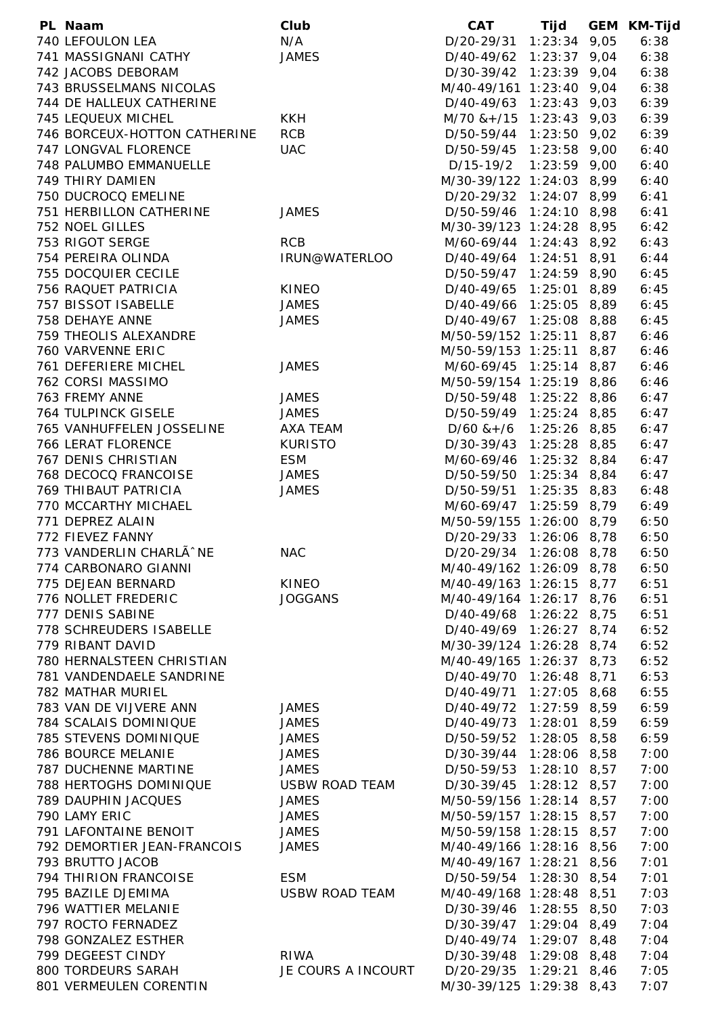| PL Naam                      | Club                  | <b>CAT</b>                    | Tijd | <b>GEM KM-Tijd</b> |
|------------------------------|-----------------------|-------------------------------|------|--------------------|
| 740 LEFOULON LEA             | N/A                   | D/20-29/31 1:23:34 9,05       |      | 6:38               |
| 741 MASSIGNANI CATHY         | <b>JAMES</b>          | D/40-49/62 1:23:37 9,04       |      | 6:38               |
| 742 JACOBS DEBORAM           |                       | D/30-39/42 1:23:39 9,04       |      | 6:38               |
| 743 BRUSSELMANS NICOLAS      |                       | M/40-49/161 1:23:40 9,04      |      | 6:38               |
| 744 DE HALLEUX CATHERINE     |                       | D/40-49/63 1:23:43 9,03       |      | 6:39               |
| 745 LEQUEUX MICHEL           | <b>KKH</b>            | $M/70$ & + $/15$ 1:23:43 9,03 |      | 6:39               |
| 746 BORCEUX-HOTTON CATHERINE | <b>RCB</b>            | D/50-59/44 1:23:50 9,02       |      | 6:39               |
| 747 LONGVAL FLORENCE         | <b>UAC</b>            | D/50-59/45 1:23:58 9,00       |      | 6:40               |
| 748 PALUMBO EMMANUELLE       |                       | D/15-19/2 1:23:59 9,00        |      | 6:40               |
| 749 THIRY DAMIEN             |                       | M/30-39/122 1:24:03 8,99      |      | 6:40               |
| 750 DUCROCQ EMELINE          |                       | D/20-29/32 1:24:07 8,99       |      | 6:41               |
| 751 HERBILLON CATHERINE      | <b>JAMES</b>          | D/50-59/46 1:24:10 8,98       |      | 6:41               |
| 752 NOEL GILLES              |                       | M/30-39/123 1:24:28 8,95      |      | 6:42               |
| 753 RIGOT SERGE              | <b>RCB</b>            | M/60-69/44 1:24:43 8,92       |      | 6:43               |
| 754 PEREIRA OLINDA           | IRUN@WATERLOO         | D/40-49/64 1:24:51 8,91       |      | 6:44               |
| 755 DOCQUIER CECILE          |                       | D/50-59/47 1:24:59 8,90       |      | 6:45               |
| 756 RAQUET PATRICIA          | <b>KINEO</b>          | D/40-49/65 1:25:01 8,89       |      | 6:45               |
| 757 BISSOT ISABELLE          | <b>JAMES</b>          | D/40-49/66 1:25:05 8,89       |      | 6:45               |
| 758 DEHAYE ANNE              | <b>JAMES</b>          | D/40-49/67 1:25:08 8,88       |      | 6:45               |
| 759 THEOLIS ALEXANDRE        |                       | M/50-59/152 1:25:11 8,87      |      | 6:46               |
| 760 VARVENNE ERIC            |                       | M/50-59/153 1:25:11 8,87      |      | 6:46               |
| 761 DEFERIERE MICHEL         | <b>JAMES</b>          | M/60-69/45 1:25:14 8,87       |      | 6:46               |
| 762 CORSI MASSIMO            |                       | M/50-59/154 1:25:19 8,86      |      | 6:46               |
| 763 FREMY ANNE               | <b>JAMES</b>          | D/50-59/48 1:25:22 8,86       |      | 6:47               |
| <b>764 TULPINCK GISELE</b>   | <b>JAMES</b>          | D/50-59/49 1:25:24 8,85       |      | 6:47               |
| 765 VANHUFFELEN JOSSELINE    | AXA TEAM              | $D/60$ & + $/6$ 1:25:26 8,85  |      | 6:47               |
| <b>766 LERAT FLORENCE</b>    | <b>KURISTO</b>        | D/30-39/43 1:25:28 8,85       |      | 6:47               |
| 767 DENIS CHRISTIAN          | <b>ESM</b>            | M/60-69/46 1:25:32 8,84       |      | 6:47               |
| 768 DECOCQ FRANCOISE         | <b>JAMES</b>          | D/50-59/50 1:25:34 8,84       |      | 6:47               |
| 769 THIBAUT PATRICIA         | <b>JAMES</b>          | D/50-59/51 1:25:35 8,83       |      | 6:48               |
| 770 MCCARTHY MICHAEL         |                       | M/60-69/47 1:25:59 8,79       |      | 6:49               |
| 771 DEPREZ ALAIN             |                       | M/50-59/155 1:26:00 8,79      |      | 6:50               |
| 772 FIEVEZ FANNY             |                       | D/20-29/33 1:26:06 8,78       |      | 6:50               |
| 773 VANDERLIN CHARLÃ^NE      | <b>NAC</b>            | D/20-29/34 1:26:08 8,78       |      | 6:50               |
| 774 CARBONARO GIANNI         |                       | M/40-49/162 1:26:09 8,78      |      | 6:50               |
| 775 DEJEAN BERNARD           | KINEO                 | M/40-49/163 1:26:15 8,77      |      | 6:51               |
| 776 NOLLET FREDERIC          | <b>JOGGANS</b>        | M/40-49/164 1:26:17 8,76      |      | 6:51               |
| 777 DENIS SABINE             |                       | D/40-49/68 1:26:22 8,75       |      | 6:51               |
| 778 SCHREUDERS ISABELLE      |                       | D/40-49/69 1:26:27 8,74       |      | 6:52               |
| 779 RIBANT DAVID             |                       | M/30-39/124 1:26:28 8,74      |      | 6:52               |
| 780 HERNALSTEEN CHRISTIAN    |                       | M/40-49/165 1:26:37 8,73      |      | 6:52               |
| 781 VANDENDAELE SANDRINE     |                       | D/40-49/70 1:26:48 8,71       |      | 6:53               |
| <b>782 MATHAR MURIEL</b>     |                       | D/40-49/71 1:27:05 8,68       |      | 6:55               |
| 783 VAN DE VIJVERE ANN       | <b>JAMES</b>          | D/40-49/72 1:27:59 8,59       |      | 6:59               |
| 784 SCALAIS DOMINIQUE        | <b>JAMES</b>          | D/40-49/73 1:28:01 8,59       |      | 6:59               |
| 785 STEVENS DOMINIQUE        | <b>JAMES</b>          | D/50-59/52 1:28:05 8,58       |      | 6:59               |
| 786 BOURCE MELANIE           | <b>JAMES</b>          | D/30-39/44 1:28:06 8,58       |      | 7:00               |
| 787 DUCHENNE MARTINE         | <b>JAMES</b>          | D/50-59/53 1:28:10 8,57       |      | 7:00               |
| 788 HERTOGHS DOMINIQUE       | <b>USBW ROAD TEAM</b> | D/30-39/45 1:28:12 8,57       |      | 7:00               |
| 789 DAUPHIN JACQUES          | <b>JAMES</b>          | M/50-59/156 1:28:14 8,57      |      | 7:00               |
| 790 LAMY ERIC                | <b>JAMES</b>          | M/50-59/157 1:28:15 8,57      |      | 7:00               |
| 791 LAFONTAINE BENOIT        | <b>JAMES</b>          | M/50-59/158 1:28:15 8,57      |      | 7:00               |
| 792 DEMORTIER JEAN-FRANCOIS  | <b>JAMES</b>          | M/40-49/166 1:28:16 8,56      |      | 7:00               |
| 793 BRUTTO JACOB             |                       | M/40-49/167 1:28:21 8,56      |      | 7:01               |
| 794 THIRION FRANCOISE        | <b>ESM</b>            | D/50-59/54 1:28:30 8,54       |      | 7:01               |
| 795 BAZILE DJEMIMA           | USBW ROAD TEAM        | M/40-49/168 1:28:48 8,51      |      | 7:03               |
| 796 WATTIER MELANIE          |                       | D/30-39/46 1:28:55 8,50       |      | 7:03               |
| 797 ROCTO FERNADEZ           |                       | D/30-39/47 1:29:04 8,49       |      | 7:04               |
| 798 GONZALEZ ESTHER          |                       | D/40-49/74 1:29:07 8,48       |      | 7:04               |
| 799 DEGEEST CINDY            | RIWA                  | D/30-39/48 1:29:08 8,48       |      | 7:04               |
| 800 TORDEURS SARAH           | JE COURS A INCOURT    | D/20-29/35 1:29:21 8,46       |      | 7:05               |
| 801 VERMEULEN CORENTIN       |                       | M/30-39/125 1:29:38 8,43      |      | 7:07               |
|                              |                       |                               |      |                    |